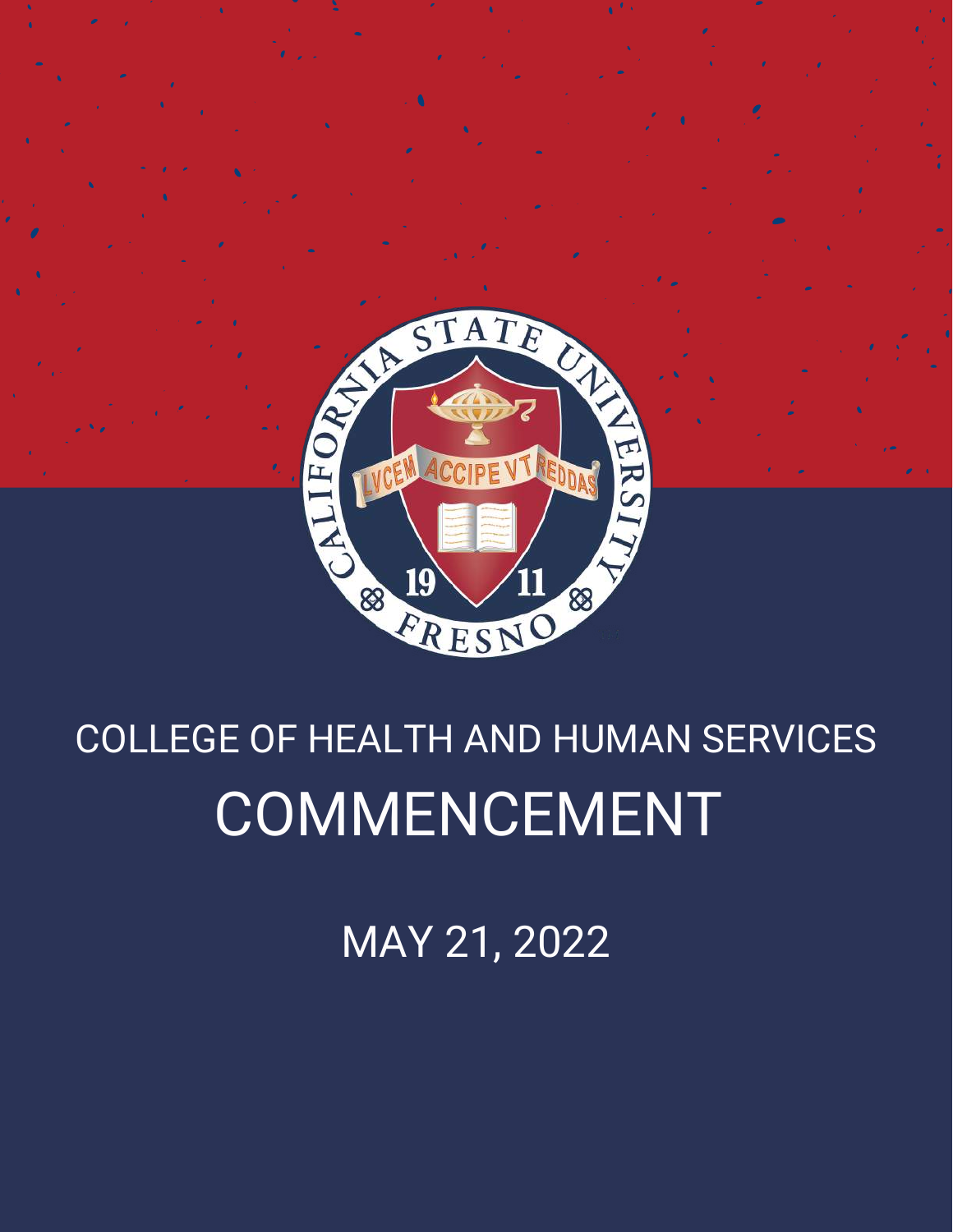

# COLLEGE OF HEALTH AND HUMAN SERVICES COMMENCEMENT

MAY 21, 2022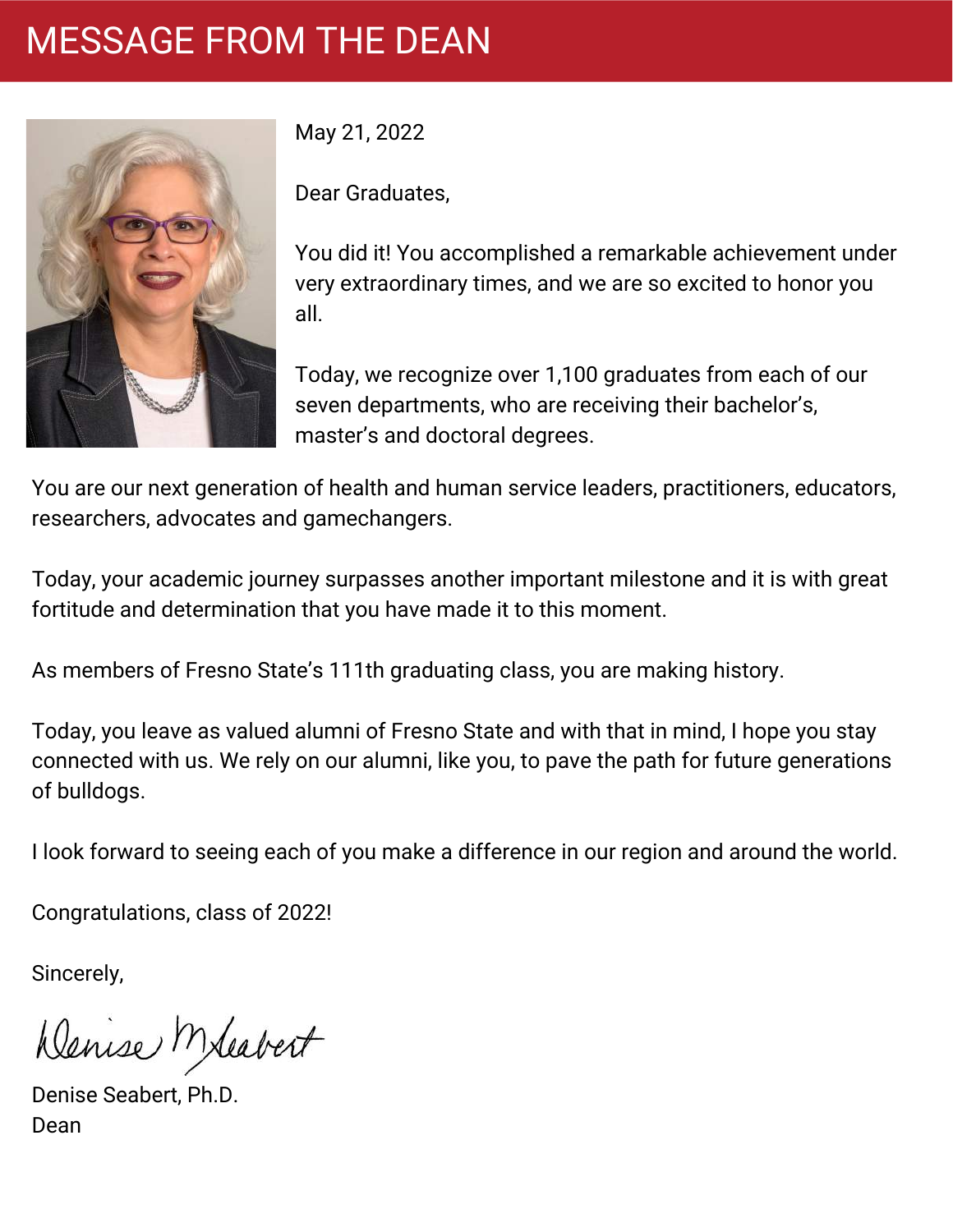# MESSAGE FROM THE DEAN



May 21, 2022

Dear Graduates,

You did it! You accomplished a remarkable achievement under very extraordinary times, and we are so excited to honor you all.

Today, we recognize over 1,100 graduates from each of our seven departments, who are receiving their bachelor's, master's and doctoral degrees.

You are our next generation of health and human service leaders, practitioners, educators, researchers, advocates and gamechangers.

Today, your academic journey surpasses another important milestone and it is with great fortitude and determination that you have made it to this moment.

As members of Fresno State's 111th graduating class, you are making history.

Today, you leave as valued alumni of Fresno State and with that in mind, I hope you stay connected with us. We rely on our alumni, like you, to pave the path for future generations of bulldogs.

I look forward to seeing each of you make a difference in our region and around the world.

Congratulations, class of 2022!

Sincerely,

Denise Meabert

Denise Seabert, Ph.D. Dean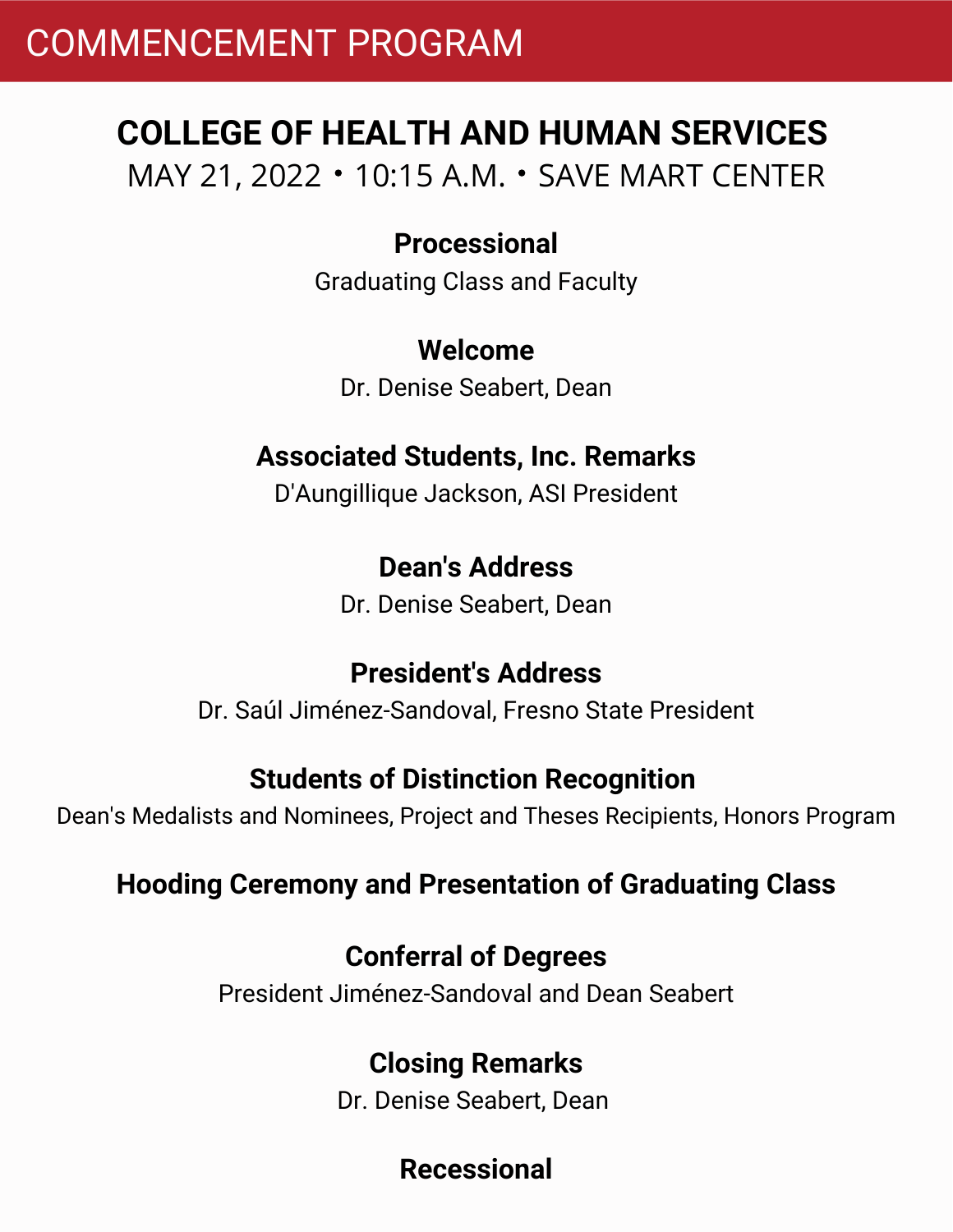# COMMENCEMENT PROGRAM

# **COLLEGE OF HEALTH AND HUMAN SERVICES** MAY 21, 2022 • 10:15 A.M. • SAVE MART CENTER

### **Processional**

Graduating Class and Faculty

### **Welcome**

Dr. Denise Seabert, Dean

# **Associated Students, Inc. Remarks**

D'Aungillique Jackson, ASI President

### **Dean's Address**

Dr. Denise Seabert, Dean

### **President's Address**

Dr. Saúl Jiménez-Sandoval, Fresno State President

### **Students of Distinction Recognition**

Dean's Medalists and Nominees, Project and Theses Recipients, Honors Program

### **Hooding Ceremony and Presentation of Graduating Class**

### **Conferral of Degrees**

President Jiménez-Sandoval and Dean Seabert

### **Closing Remarks**

Dr. Denise Seabert, Dean

# **Recessional**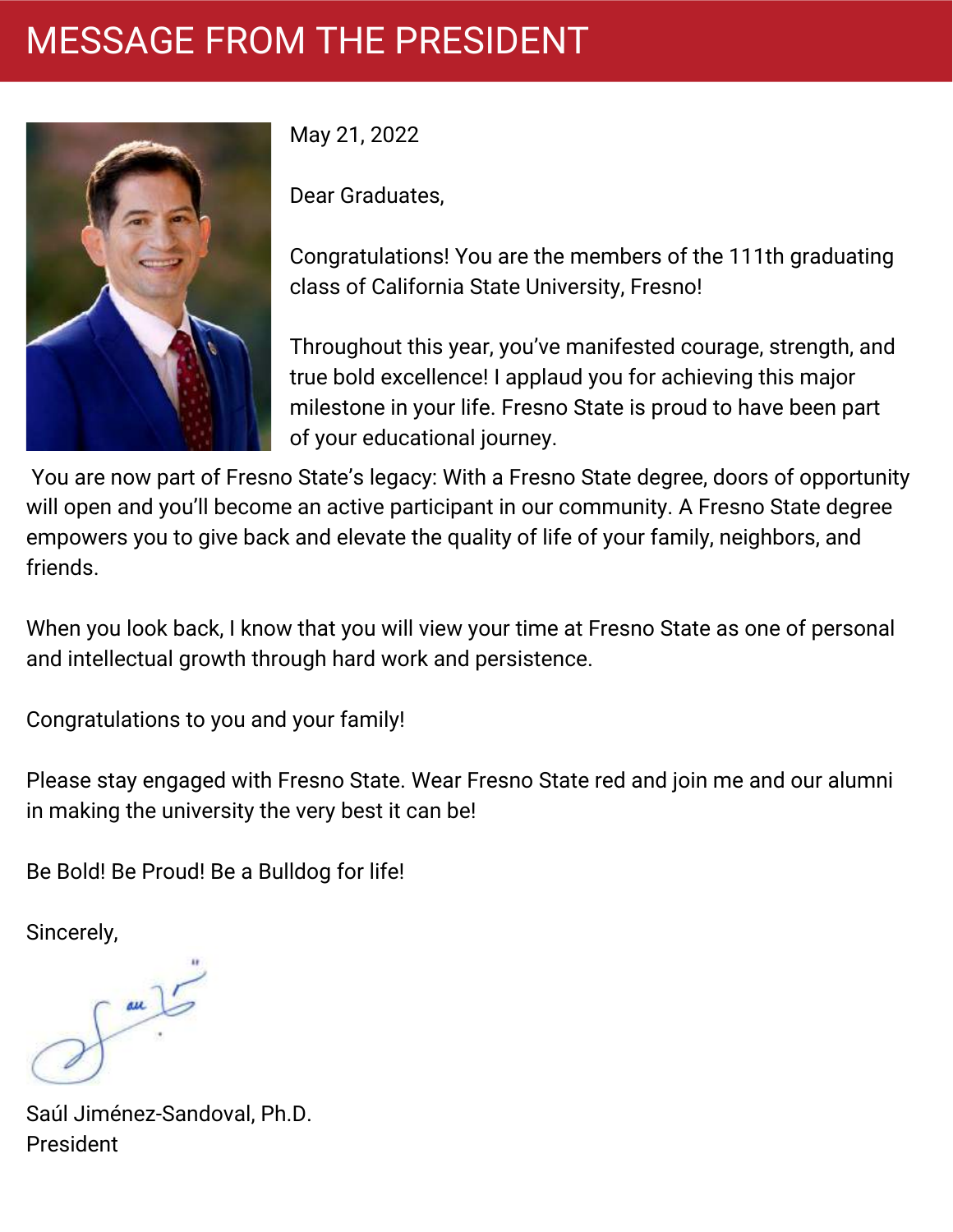# MESSAGE FROM THE PRESIDENT



May 21, 2022

Dear Graduates,

Congratulations! You are the members of the 111th graduating class of California State University, Fresno!

Throughout this year, you've manifested courage, strength, and true bold excellence! I applaud you for achieving this major milestone in your life. Fresno State is proud to have been part of your educational journey.

You are now part of Fresno State's legacy: With a Fresno State degree, doors of opportunity will open and you'll become an active participant in our community. A Fresno State degree empowers you to give back and elevate the quality of life of your family, neighbors, and friends.

When you look back, I know that you will view your time at Fresno State as one of personal and intellectual growth through hard work and persistence.

Congratulations to you and your family!

Please stay engaged with Fresno State. Wear Fresno State red and join me and our alumni in making the university the very best it can be!

Be Bold! Be Proud! Be a Bulldog for life!

Sincerely,

au

Saúl Jiménez-Sandoval, Ph.D. President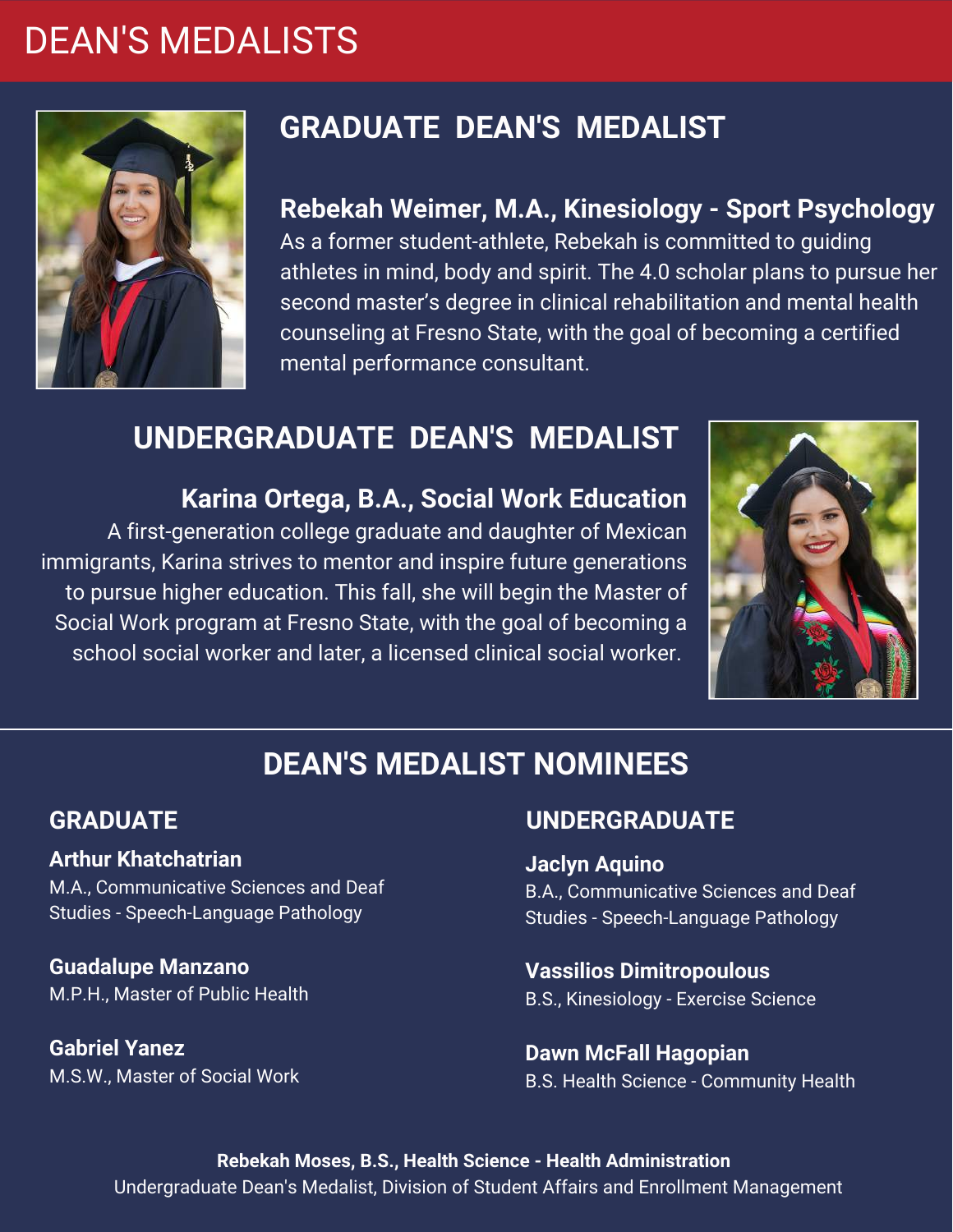# DEAN'S MEDALISTS



# **GRADUATE DEAN'S MEDALIST**

**Rebekah Weimer, M.A., Kinesiology - Sport Psychology** As a former student-athlete, Rebekah is committed to guiding athletes in mind, body and spirit. The 4.0 scholar plans to pursue her second master's degree in clinical rehabilitation and mental health counseling at Fresno State, with the goal of becoming a certified mental performance consultant.

# **UNDERGRADUATE DEAN'S MEDALIST**

**Karina Ortega, B.A., Social Work Education** A first-generation college graduate and daughter of Mexican immigrants, Karina strives to mentor and inspire future generations to pursue higher education. This fall, she will begin the Master of Social Work program at Fresno State, with the goal of becoming a school social worker and later, a licensed clinical social worker.



### **DEAN'S MEDALIST NOMINEES**

### **GRADUATE**

#### **Arthur Khatchatrian**

M.A., Communicative Sciences and Deaf Studies - Speech-Language Pathology

**Guadalupe Manzano** M.P.H., Master of Public Health

**Gabriel Yanez** M.S.W., Master of Social Work

### **UNDERGRADUATE**

#### **Jaclyn Aquino**

B.A., Communicative Sciences and Deaf Studies - Speech-Language Pathology

**Vassilios Dimitropoulous** B.S., Kinesiology - Exercise Science

**Dawn McFall Hagopian** B.S. Health Science - Community Health

**Rebekah Moses, B.S., Health Science - Health Administration** Undergraduate Dean's Medalist, Division of Student Affairs and Enrollment Management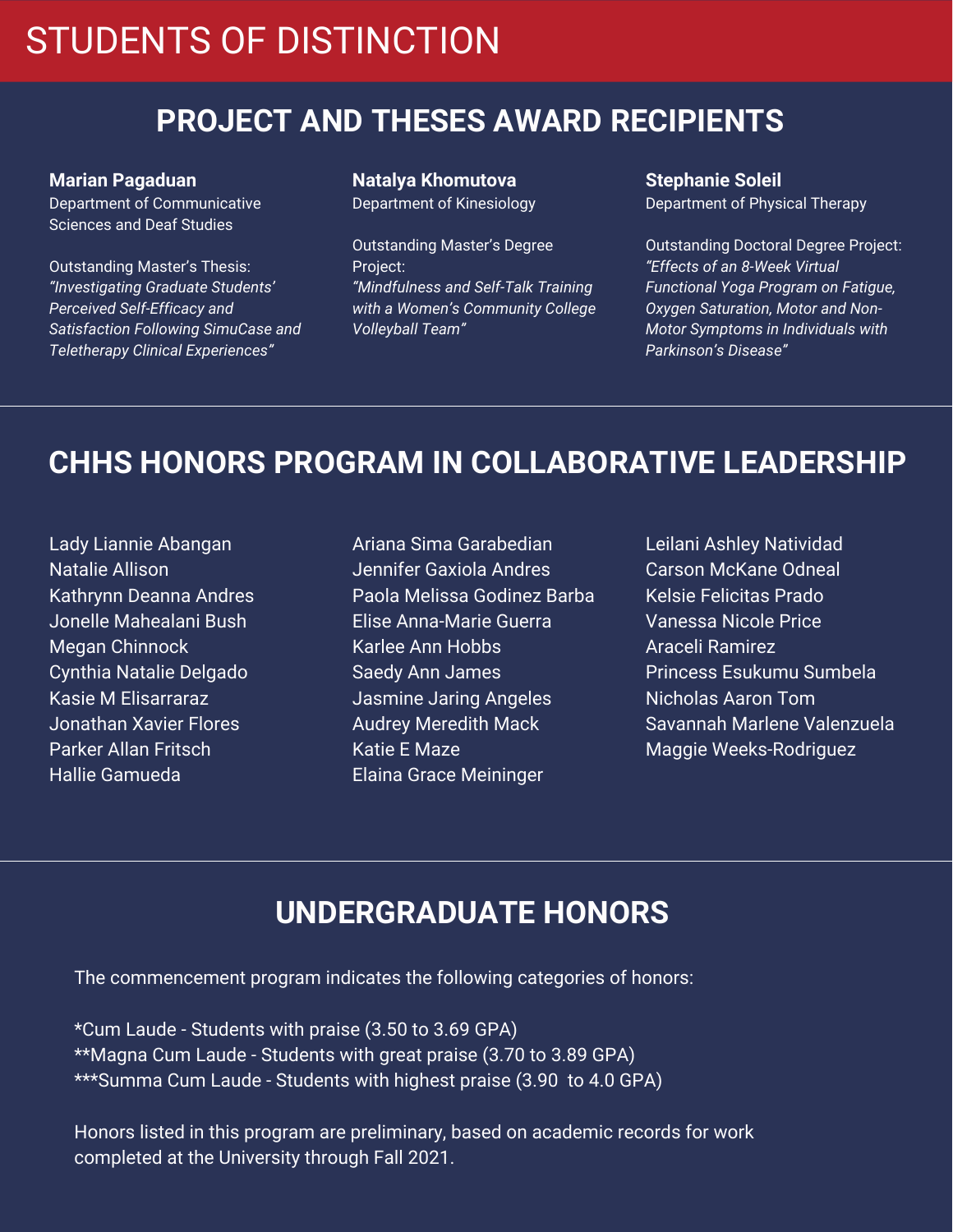# STUDENTS OF DISTINCTION

### **PROJECT AND THESES AWARD RECIPIENTS**

**Marian Pagaduan** Department of Communicative Sciences and Deaf Studies

Outstanding Master's Thesis: *"Investigating Graduate Students' Perceived Self-Efficacy and Satisfaction Following SimuCase and Teletherapy Clinical Experiences"*

#### **Natalya Khomutova** Department of Kinesiology

Outstanding Master's Degree Project: *"Mindfulness and Self-Talk Training with a Women's Community College Volleyball Team"*

**Stephanie Soleil** Department of Physical Therapy

Outstanding Doctoral Degree Project: *"Effects of an 8-Week Virtual Functional Yoga Program on Fatigue, Oxygen Saturation, Motor and Non-Motor Symptoms in Individuals with Parkinson's Disease"*

### **CHHS HONORS PROGRAM IN COLLABORATIVE LEADERSHIP**

Lady Liannie Abangan Natalie Allison Kathrynn Deanna Andres Jonelle Mahealani Bush Megan Chinnock Cynthia Natalie Delgado Kasie M Elisarraraz Jonathan Xavier Flores Parker Allan Fritsch Hallie Gamueda

- Ariana Sima Garabedian Jennifer Gaxiola Andres Paola Melissa Godinez Barba Elise Anna-Marie Guerra Karlee Ann Hobbs Saedy Ann James Jasmine Jaring Angeles Audrey Meredith Mack Katie E Maze Elaina Grace Meininger
- Leilani Ashley Natividad Carson McKane Odneal Kelsie Felicitas Prado Vanessa Nicole Price Araceli Ramirez Princess Esukumu Sumbela Nicholas Aaron Tom Savannah Marlene Valenzuela Maggie Weeks-Rodriguez

### **UNDERGRADUATE HONORS**

The commencement program indicates the following categories of honors:

\*Cum Laude - Students with praise (3.50 to 3.69 GPA) \*\*Magna Cum Laude - Students with great praise (3.70 to 3.89 GPA) \*\*\*Summa Cum Laude - Students with highest praise (3.90 to 4.0 GPA)

Honors listed in this program are preliminary, based on academic records for work completed at the University through Fall 2021.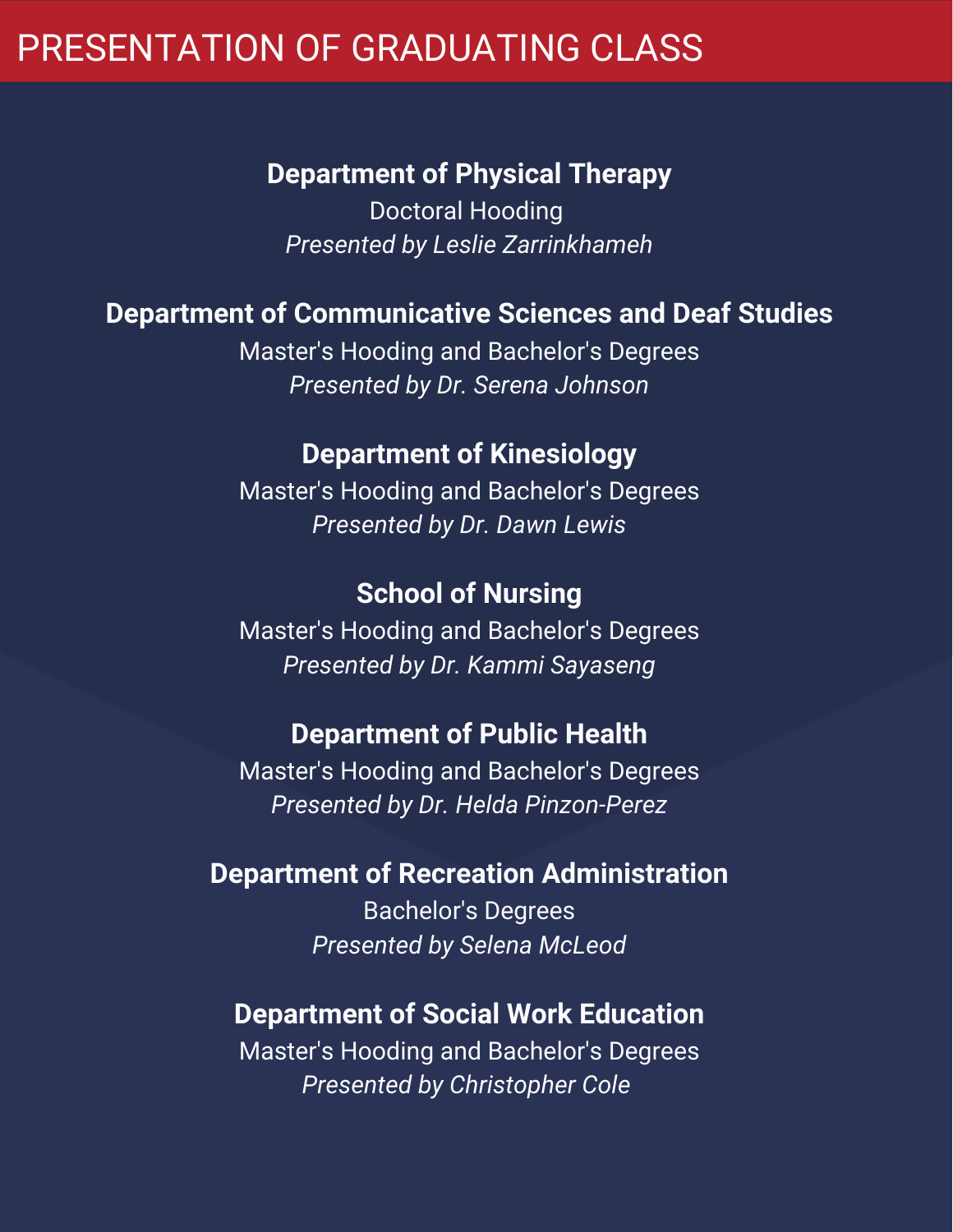# PRESENTATION OF GRADUATING CLASS

### **Department of Physical Therapy**

Doctoral Hooding *Presented by Leslie Zarrinkhameh*

### **Department of Communicative Sciences and Deaf Studies**

Master's Hooding and Bachelor's Degrees *Presented by Dr. Serena Johnson*

### **Department of Kinesiology**

Master's Hooding and Bachelor's Degrees *Presented by Dr. Dawn Lewis*

### **School of Nursing**

Master's Hooding and Bachelor's Degrees *Presented by Dr. Kammi Sayaseng*

### **Department of Public Health**

Master's Hooding and Bachelor's Degrees *Presented by Dr. Helda Pinzon-Perez*

### **Department of Recreation Administration**

Bachelor's Degrees *Presented by Selena McLeod*

### **Department of Social Work Education**

Master's Hooding and Bachelor's Degrees *Presented by Christopher Cole*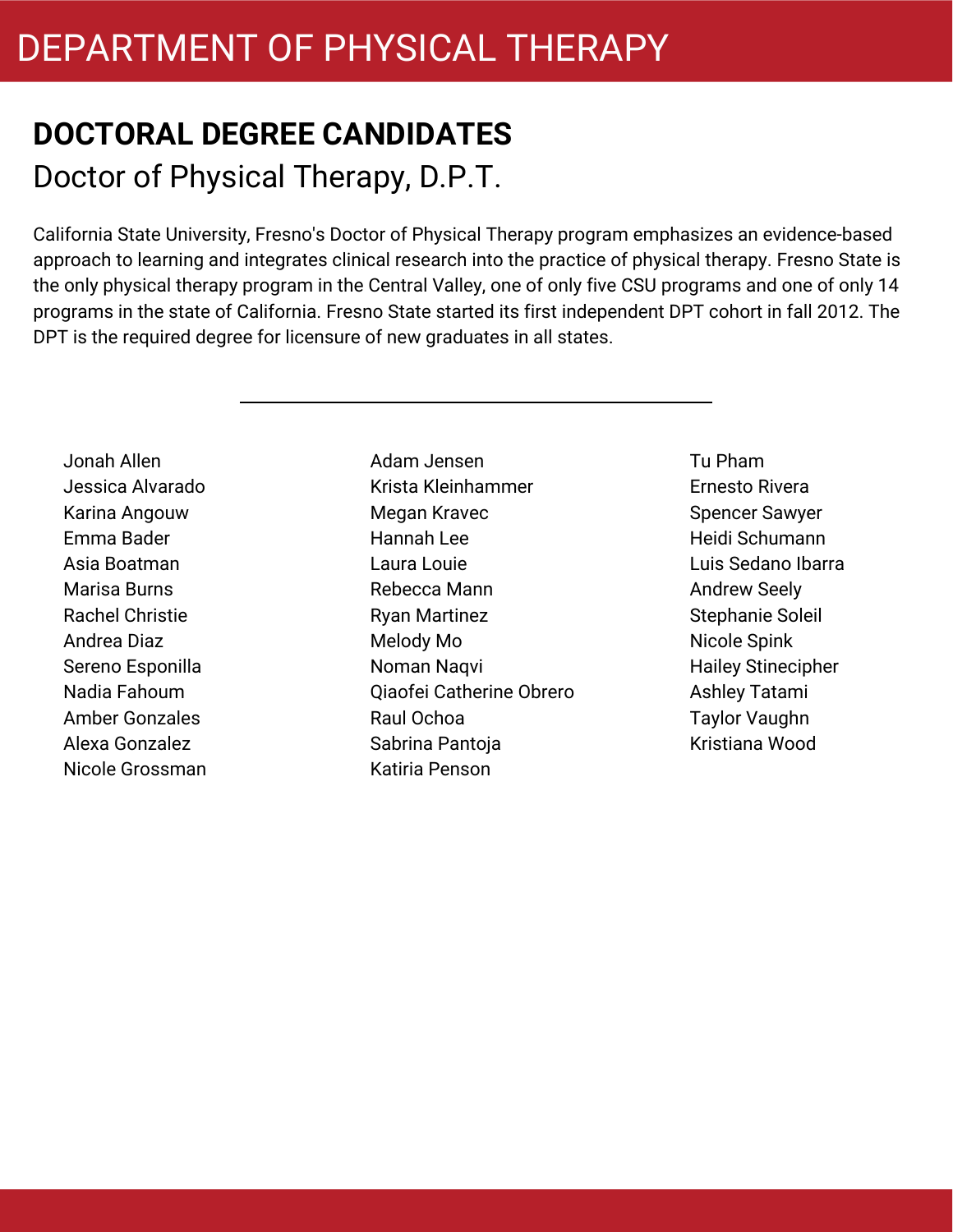# **DOCTORAL DEGREE CANDIDATES** Doctor of Physical Therapy, D.P.T.

California State University, Fresno's Doctor of Physical Therapy program emphasizes an evidence-based approach to learning and integrates clinical research into the practice of physical therapy. Fresno State is the only physical therapy program in the Central Valley, one of only five CSU programs and one of only 14 programs in the state of California. Fresno State started its first independent DPT cohort in fall 2012. The DPT is the required degree for licensure of new graduates in all states.

Jonah Allen Jessica Alvarado Karina Angouw Emma Bader Asia Boatman Marisa Burns Rachel Christie Andrea Diaz Sereno Esponilla Nadia Fahoum Amber Gonzales Alexa Gonzalez Nicole Grossman Adam Jensen Krista Kleinhammer Megan Kravec Hannah Lee Laura Louie Rebecca Mann Ryan Martinez Melody Mo Noman Naqvi Qiaofei Catherine Obrero Raul Ochoa Sabrina Pantoja Katiria Penson

Tu Pham Ernesto Rivera Spencer Sawyer Heidi Schumann Luis Sedano Ibarra Andrew Seely Stephanie Soleil Nicole Spink Hailey Stinecipher Ashley Tatami Taylor Vaughn Kristiana Wood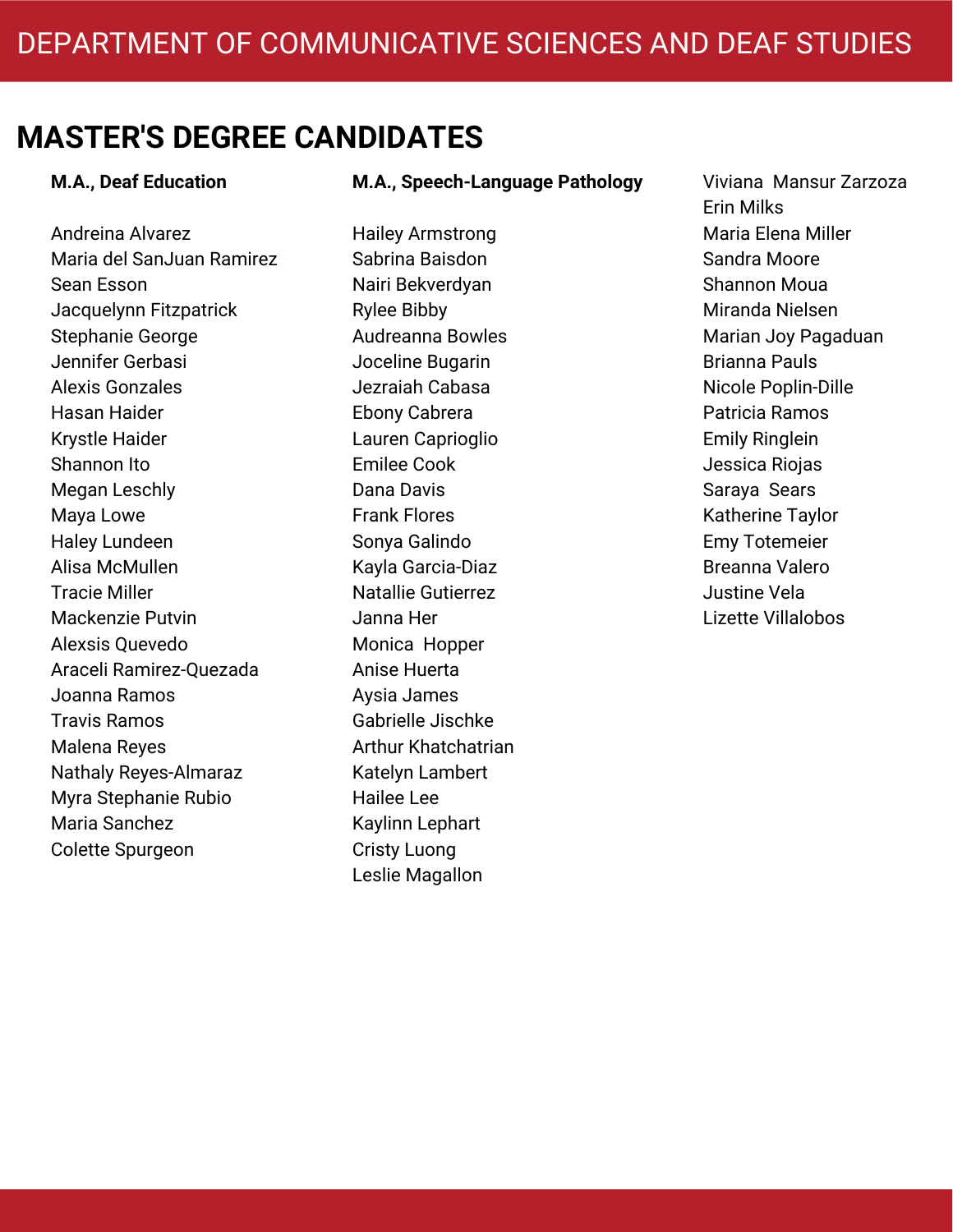#### **M.A., Deaf Education**

Andreina Alvarez Maria del SanJuan Ramirez Sean Esson Jacquelynn Fitzpatrick Stephanie George Jennifer Gerbasi Alexis Gonzales Hasan Haider Krystle Haider Shannon Ito Megan Leschly Maya Lowe Haley Lundeen Alisa McMullen Tracie Miller Mackenzie Putvin Alexsis Quevedo Araceli Ramirez-Quezada Joanna Ramos Travis Ramos Malena Reyes Nathaly Reyes-Almaraz Myra Stephanie Rubio Maria Sanchez Colette Spurgeon

#### **M.A., Speech-Language Pathology**

Hailey Armstrong Sabrina Baisdon Nairi Bekverdyan Rylee Bibby Audreanna Bowles Joceline Bugarin Jezraiah Cabasa Ebony Cabrera Lauren Caprioglio Emilee Cook Dana Davis Frank Flores Sonya Galindo Kayla Garcia-Diaz Natallie Gutierrez Janna Her Monica Hopper Anise Huerta Aysia James Gabrielle Jischke Arthur Khatchatrian Katelyn Lambert Hailee Lee Kaylinn Lephart Cristy Luong Leslie Magallon

Viviana Mansur Zarzoza Erin Milks Maria Elena Miller Sandra Moore Shannon Moua Miranda Nielsen Marian Joy Pagaduan Brianna Pauls Nicole Poplin-Dille Patricia Ramos Emily Ringlein Jessica Riojas Saraya Sears Katherine Taylor Emy Totemeier Breanna Valero Justine Vela Lizette Villalobos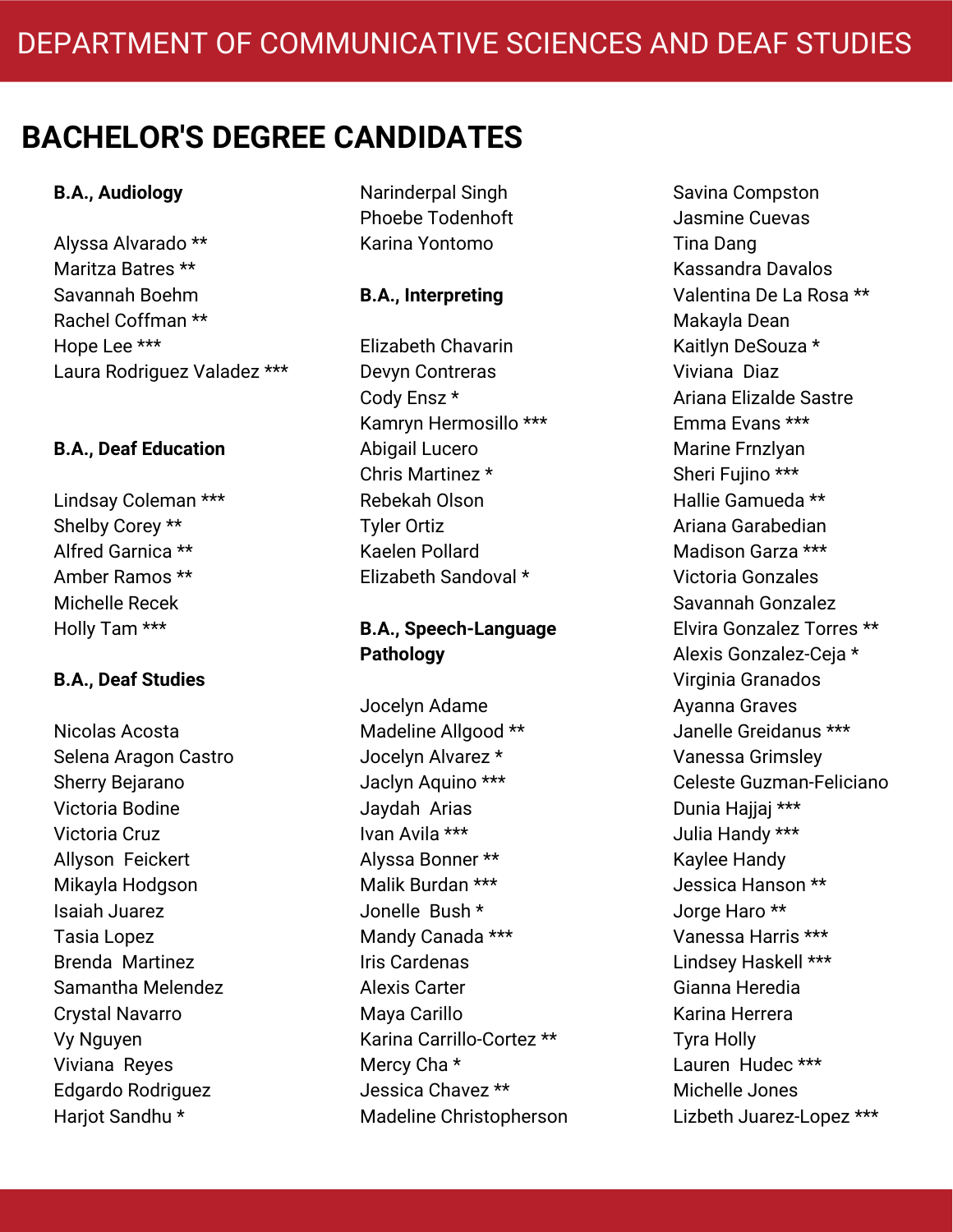### **B.A., Audiology**

Alyssa Alvarado \*\* Maritza Batres \*\* Savannah Boehm Rachel Coffman \*\* Hope Lee \*\*\* Laura Rodriguez Valadez \*\*\*

### **B.A., Deaf Education**

Lindsay Coleman \*\*\* Shelby Corey \*\* Alfred Garnica \*\* Amber Ramos \*\* Michelle Recek Holly Tam \*\*\*

### **B.A., Deaf Studies**

Nicolas Acosta Selena Aragon Castro Sherry Bejarano Victoria Bodine Victoria Cruz Allyson Feickert Mikayla Hodgson Isaiah Juarez Tasia Lopez Brenda Martinez Samantha Melendez Crystal Navarro Vy Nguyen Viviana Reyes Edgardo Rodriguez Harjot Sandhu \*

Narinderpal Singh Phoebe Todenhoft Karina Yontomo

### **B.A., Interpreting**

Elizabeth Chavarin Devyn Contreras Cody Ensz \* Kamryn Hermosillo \*\*\* Abigail Lucero Chris Martinez \* Rebekah Olson Tyler Ortiz Kaelen Pollard Elizabeth Sandoval \*

### **B.A., Speech-Language Pathology**

Jocelyn Adame Madeline Allgood \*\* Jocelyn Alvarez \* Jaclyn Aquino \*\*\* Jaydah Arias Ivan Avila \*\*\* Alyssa Bonner \*\* Malik Burdan \*\*\* Jonelle Bush \* Mandy Canada \*\*\* Iris Cardenas Alexis Carter Maya Carillo Karina Carrillo-Cortez \*\* Mercy Cha \* Jessica Chavez \*\* Madeline Christopherson Savina Compston Jasmine Cuevas Tina Dang Kassandra Davalos Valentina De La Rosa \*\* Makayla Dean Kaitlyn DeSouza \* Viviana Diaz Ariana Elizalde Sastre Emma Evans \*\*\* Marine Frnzlyan Sheri Fujino \*\*\* Hallie Gamueda \*\* Ariana Garabedian Madison Garza \*\*\* Victoria Gonzales Savannah Gonzalez Elvira Gonzalez Torres \*\* Alexis Gonzalez-Ceja \* Virginia Granados Ayanna Graves Janelle Greidanus \*\*\* Vanessa Grimsley Celeste Guzman-Feliciano Dunia Haijai \*\*\* Julia Handy \*\*\* Kaylee Handy Jessica Hanson \*\* Jorge Haro \*\* Vanessa Harris \*\*\* Lindsey Haskell \*\*\* Gianna Heredia Karina Herrera Tyra Holly Lauren Hudec \*\*\* Michelle Jones Lizbeth Juarez-Lopez \*\*\*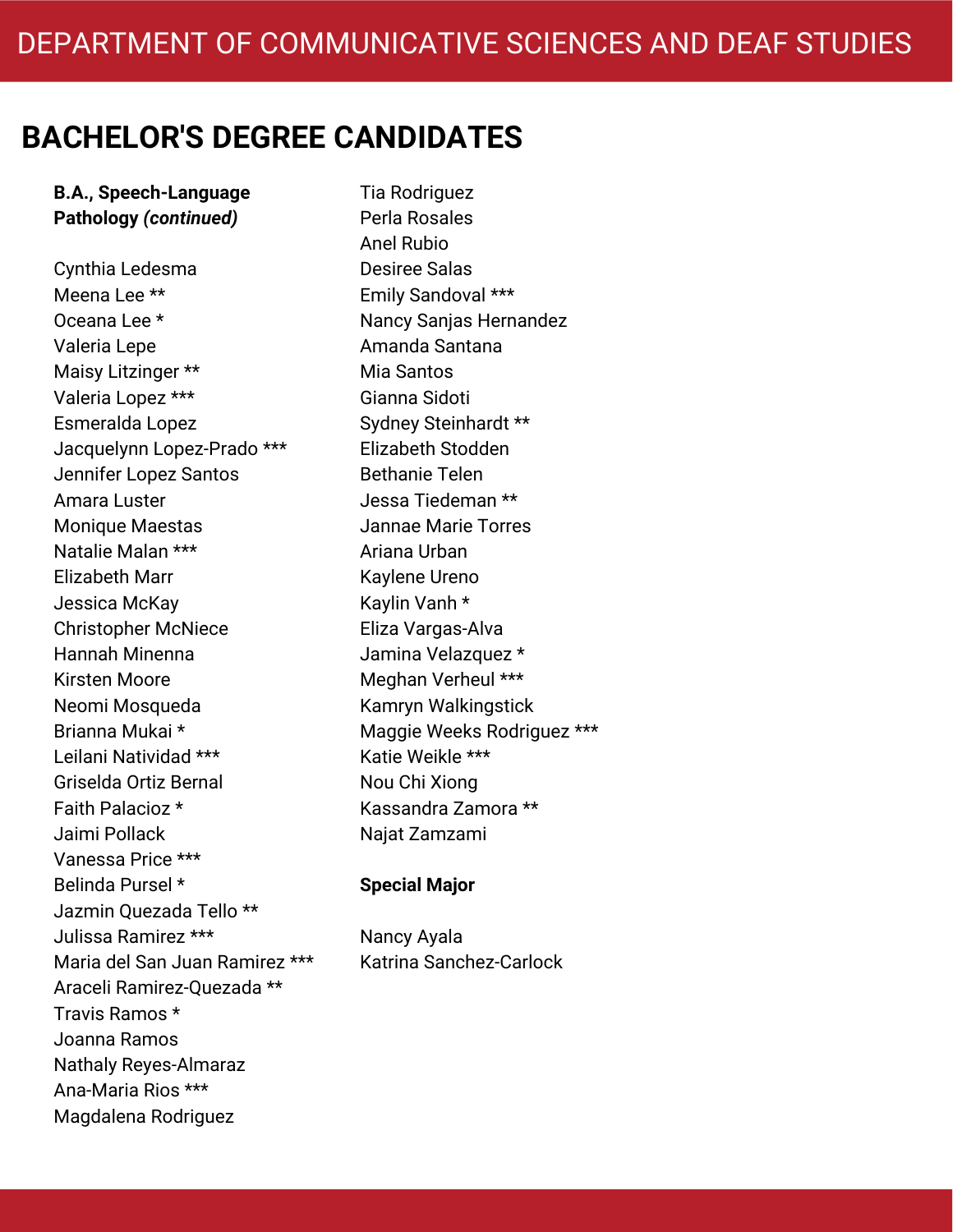**B.A., Speech-Language Pathology** *(continued)*

Cynthia Ledesma Meena Lee \*\* Oceana Lee \* Valeria Lepe Maisy Litzinger \*\* Valeria Lopez \*\*\* Esmeralda Lopez Jacquelynn Lopez-Prado \*\*\* Jennifer Lopez Santos Amara Luster Monique Maestas Natalie Malan \*\*\* Elizabeth Marr Jessica McKay Christopher McNiece Hannah Minenna Kirsten Moore Neomi Mosqueda Brianna Mukai \* Leilani Natividad \*\*\* Griselda Ortiz Bernal Faith Palacioz \* Jaimi Pollack Vanessa Price \*\*\* Belinda Pursel \* Jazmin Quezada Tello \*\* Julissa Ramirez \*\*\* Maria del San Juan Ramirez \*\*\* Araceli Ramirez-Quezada \*\* Travis Ramos \* Joanna Ramos Nathaly Reyes-Almaraz Ana-Maria Rios \*\*\* Magdalena Rodriguez

Tia Rodriguez Perla Rosales Anel Rubio Desiree Salas Emily Sandoval \*\*\* Nancy Sanjas Hernandez Amanda Santana Mia Santos Gianna Sidoti Sydney Steinhardt \*\* Elizabeth Stodden Bethanie Telen Jessa Tiedeman \*\* Jannae Marie Torres Ariana Urban Kaylene Ureno Kaylin Vanh \* Eliza Vargas-Alva Jamina Velazquez \* Meghan Verheul \*\*\* Kamryn Walkingstick Maggie Weeks Rodriguez \*\*\* Katie Weikle \*\*\* Nou Chi Xiong Kassandra Zamora \*\* Najat Zamzami

#### **Special Major**

Nancy Ayala Katrina Sanchez-Carlock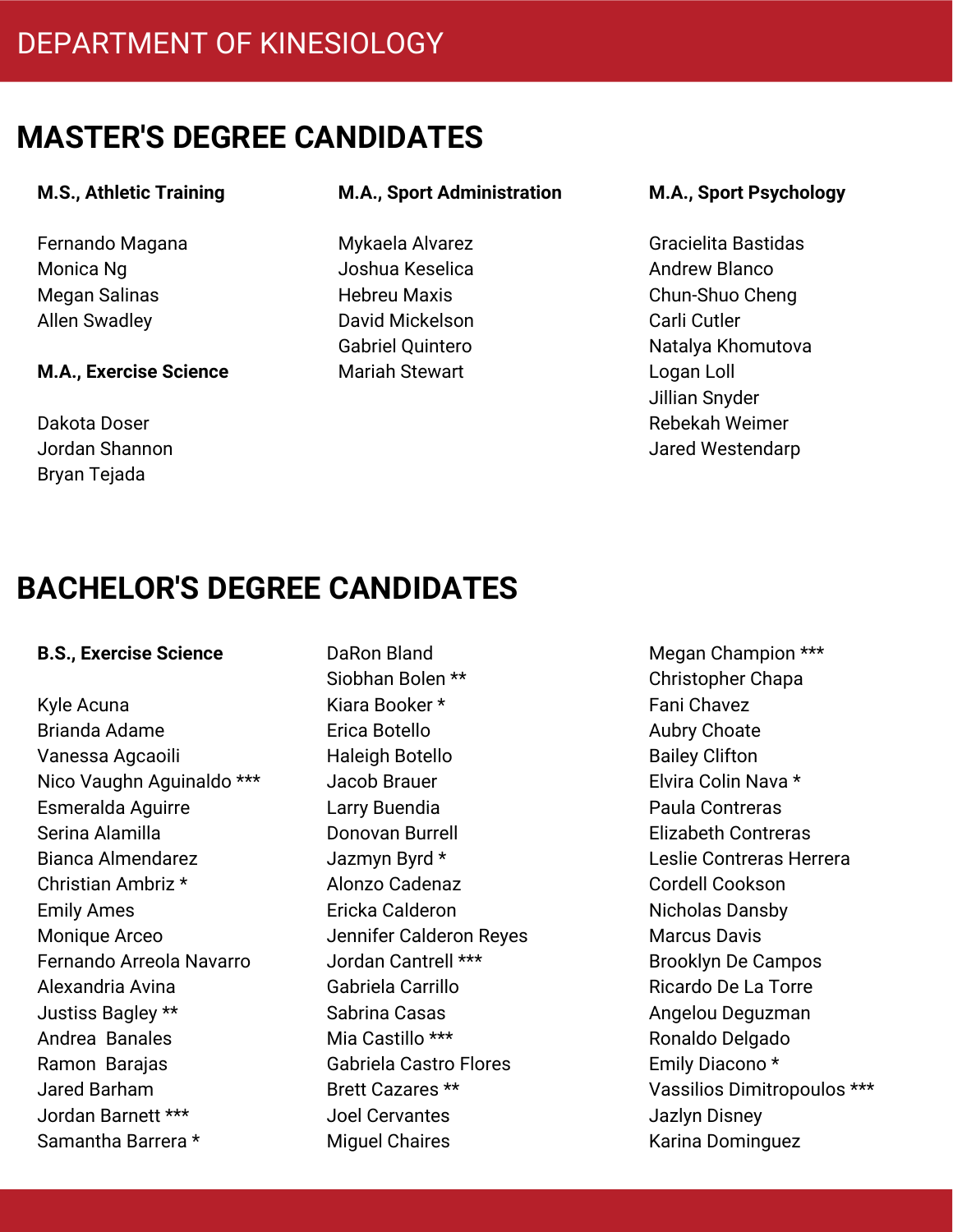#### **M.S., Athletic Training**

Fernando Magana Monica Ng Megan Salinas Allen Swadley

#### **M.A., Exercise Science**

Dakota Doser Jordan Shannon Bryan Tejada

#### **M.A., Sport Administration**

Mykaela Alvarez Joshua Keselica Hebreu Maxis David Mickelson Gabriel Quintero Mariah Stewart

#### **M.A., Sport Psychology**

Gracielita Bastidas Andrew Blanco Chun-Shuo Cheng Carli Cutler Natalya Khomutova Logan Loll Jillian Snyder Rebekah Weimer Jared Westendarp

# **BACHELOR'S DEGREE CANDIDATES**

#### **B.S., Exercise Science**

Kyle Acuna Brianda Adame Vanessa Agcaoili Nico Vaughn Aguinaldo \*\*\* Esmeralda Aguirre Serina Alamilla Bianca Almendarez Christian Ambriz \* Emily Ames Monique Arceo Fernando Arreola Navarro Alexandria Avina Justiss Bagley \*\* Andrea Banales Ramon Barajas Jared Barham Jordan Barnett \*\*\* Samantha Barrera \*

DaRon Bland Siobhan Bolen \*\* Kiara Booker \* Erica Botello Haleigh Botello Jacob Brauer Larry Buendia Donovan Burrell Jazmyn Byrd \* Alonzo Cadenaz Ericka Calderon Jennifer Calderon Reyes Jordan Cantrell \*\*\* Gabriela Carrillo Sabrina Casas Mia Castillo \*\*\* Gabriela Castro Flores Brett Cazares \*\* Joel Cervantes Miguel Chaires

Megan Champion \*\*\* Christopher Chapa Fani Chavez Aubry Choate Bailey Clifton Elvira Colin Nava \* Paula Contreras Elizabeth Contreras Leslie Contreras Herrera Cordell Cookson Nicholas Dansby Marcus Davis Brooklyn De Campos Ricardo De La Torre Angelou Deguzman Ronaldo Delgado Emily Diacono \* Vassilios Dimitropoulos \*\*\* Jazlyn Disney Karina Dominguez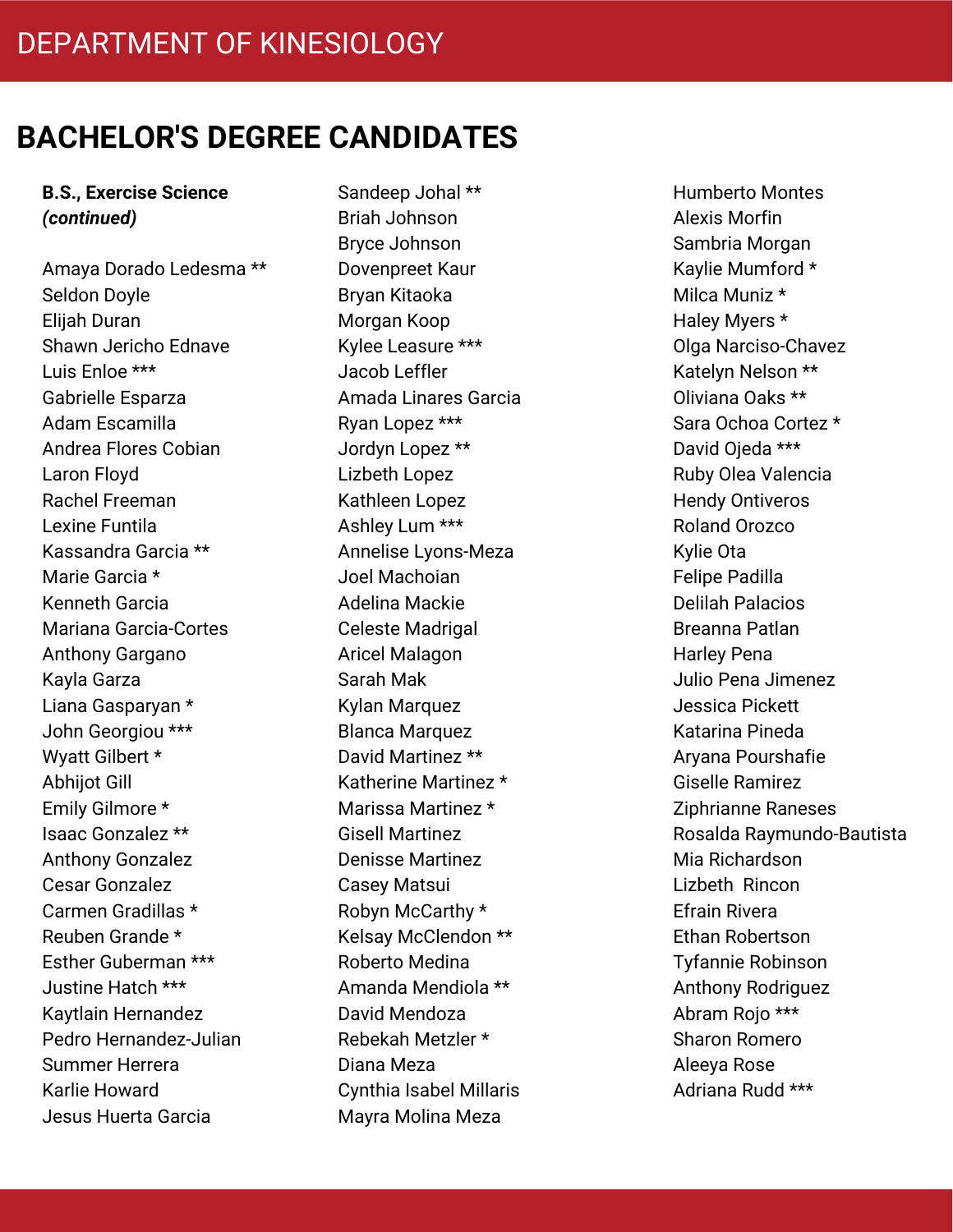#### **B.S., Exercise Science** *(continued)*

Amaya Dorado Ledesma \*\* Seldon Doyle Elijah Duran Shawn Jericho Ednave Luis Enloe \*\*\* Gabrielle Esparza Adam Escamilla Andrea Flores Cobian Laron Floyd Rachel Freeman Lexine Funtila Kassandra Garcia \*\* Marie Garcia \* Kenneth Garcia Mariana Garcia-Cortes Anthony Gargano Kayla Garza Liana Gasparyan \* John Georgiou \*\*\* Wyatt Gilbert \* Abhijot Gill Emily Gilmore \* Isaac Gonzalez \*\* Anthony Gonzalez Cesar Gonzalez Carmen Gradillas \* Reuben Grande \* Esther Guberman \*\*\* Justine Hatch \*\*\* Kaytlain Hernandez Pedro Hernandez-Julian Summer Herrera Karlie Howard Jesus Huerta Garcia

Sandeep Johal \*\* Briah Johnson Bryce Johnson Dovenpreet Kaur Bryan Kitaoka Morgan Koop Kylee Leasure \*\*\* Jacob Leffler Amada Linares Garcia Ryan Lopez \*\*\* Jordyn Lopez \*\* Lizbeth Lopez Kathleen Lopez Ashley Lum \*\*\* Annelise Lyons-Meza Joel Machoian Adelina Mackie Celeste Madrigal Aricel Malagon Sarah Mak Kylan Marquez Blanca Marquez David Martinez \*\* Katherine Martinez \* Marissa Martinez \* Gisell Martinez Denisse Martinez Casey Matsui Robyn McCarthy \* Kelsay McClendon \*\* Roberto Medina Amanda Mendiola \*\* David Mendoza Rebekah Metzler \* Diana Meza Cynthia Isabel Millaris Mayra Molina Meza

Humberto Montes Alexis Morfin Sambria Morgan Kaylie Mumford \* Milca Muniz \* Haley Myers \* Olga Narciso-Chavez Katelyn Nelson \*\* Oliviana Oaks \*\* Sara Ochoa Cortez \* David Ojeda \*\*\* Ruby Olea Valencia Hendy Ontiveros Roland Orozco Kylie Ota Felipe Padilla Delilah Palacios Breanna Patlan Harley Pena Julio Pena Jimenez Jessica Pickett Katarina Pineda Aryana Pourshafie Giselle Ramirez Ziphrianne Raneses Rosalda Raymundo-Bautista Mia Richardson Lizbeth Rincon Efrain Rivera Ethan Robertson Tyfannie Robinson Anthony Rodriguez Abram Rojo \*\*\* Sharon Romero Aleeya Rose Adriana Rudd \*\*\*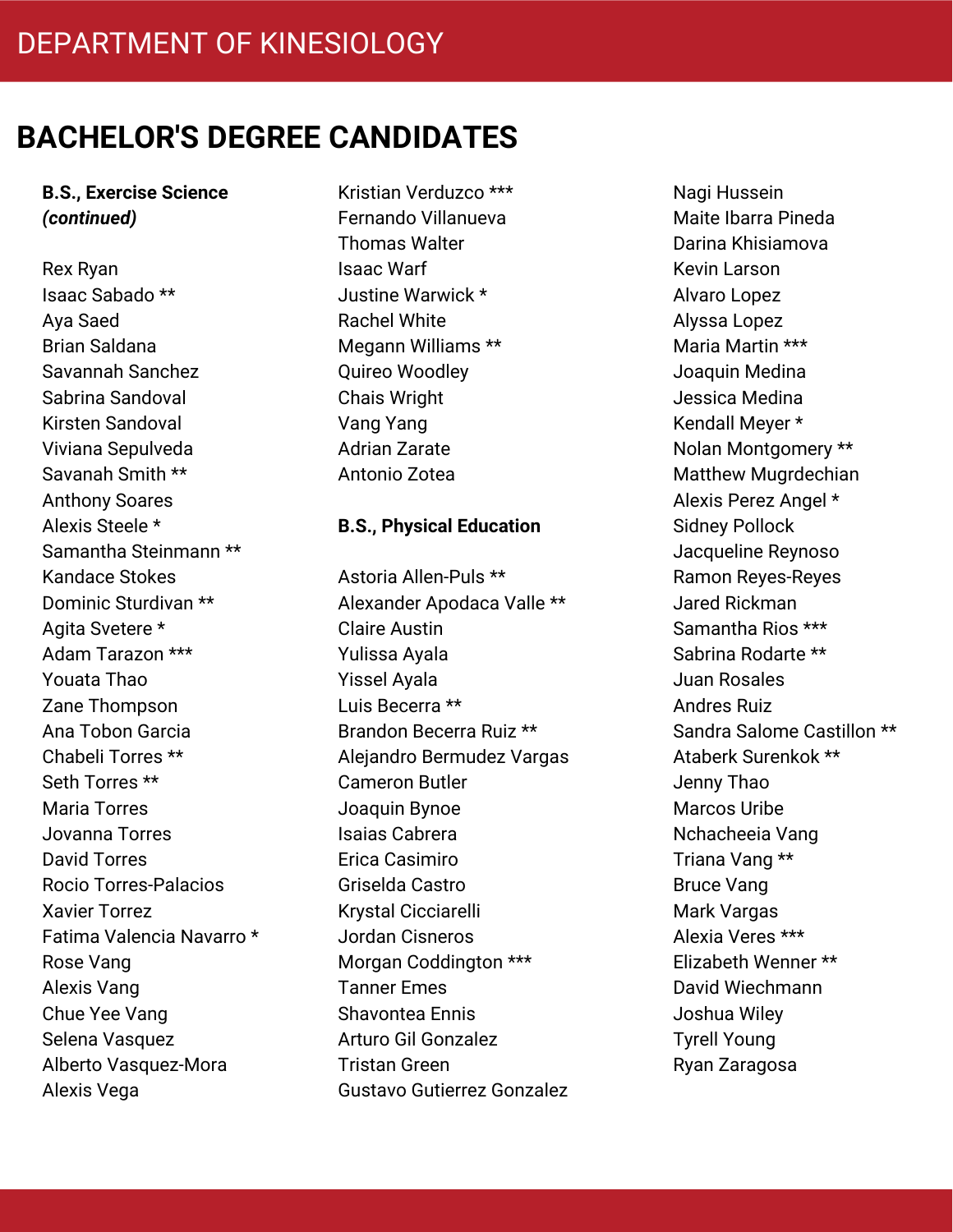**B.S., Exercise Science** *(continued)*

Rex Ryan Isaac Sabado \*\* Aya Saed Brian Saldana Savannah Sanchez Sabrina Sandoval Kirsten Sandoval Viviana Sepulveda Savanah Smith \*\* Anthony Soares Alexis Steele \* Samantha Steinmann \*\* Kandace Stokes Dominic Sturdivan \*\* Agita Svetere \* Adam Tarazon \*\*\* Youata Thao Zane Thompson Ana Tobon Garcia Chabeli Torres \*\* Seth Torres \*\* Maria Torres Jovanna Torres David Torres Rocio Torres-Palacios Xavier Torrez Fatima Valencia Navarro \* Rose Vang Alexis Vang Chue Yee Vang Selena Vasquez Alberto Vasquez-Mora Alexis Vega

Kristian Verduzco \*\*\* Fernando Villanueva Thomas Walter Isaac Warf Justine Warwick \* Rachel White Megann Williams \*\* Quireo Woodley Chais Wright Vang Yang Adrian Zarate Antonio Zotea

#### **B.S., Physical Education**

Astoria Allen-Puls \*\* Alexander Apodaca Valle \*\* Claire Austin Yulissa Ayala Yissel Ayala Luis Becerra \*\* Brandon Becerra Ruiz \*\* Alejandro Bermudez Vargas Cameron Butler Joaquin Bynoe Isaias Cabrera Erica Casimiro Griselda Castro Krystal Cicciarelli Jordan Cisneros Morgan Coddington \*\*\* Tanner Emes Shavontea Ennis Arturo Gil Gonzalez Tristan Green Gustavo Gutierrez Gonzalez Nagi Hussein Maite Ibarra Pineda Darina Khisiamova Kevin Larson Alvaro Lopez Alyssa Lopez Maria Martin \*\*\* Joaquin Medina Jessica Medina Kendall Meyer \* Nolan Montgomery \*\* Matthew Mugrdechian Alexis Perez Angel \* Sidney Pollock Jacqueline Reynoso Ramon Reyes-Reyes Jared Rickman Samantha Rios \*\*\* Sabrina Rodarte \*\* Juan Rosales Andres Ruiz Sandra Salome Castillon \*\* Ataberk Surenkok \*\* Jenny Thao Marcos Uribe Nchacheeia Vang Triana Vang \*\* Bruce Vang Mark Vargas Alexia Veres \*\*\* Elizabeth Wenner \*\* David Wiechmann Joshua Wiley Tyrell Young Ryan Zaragosa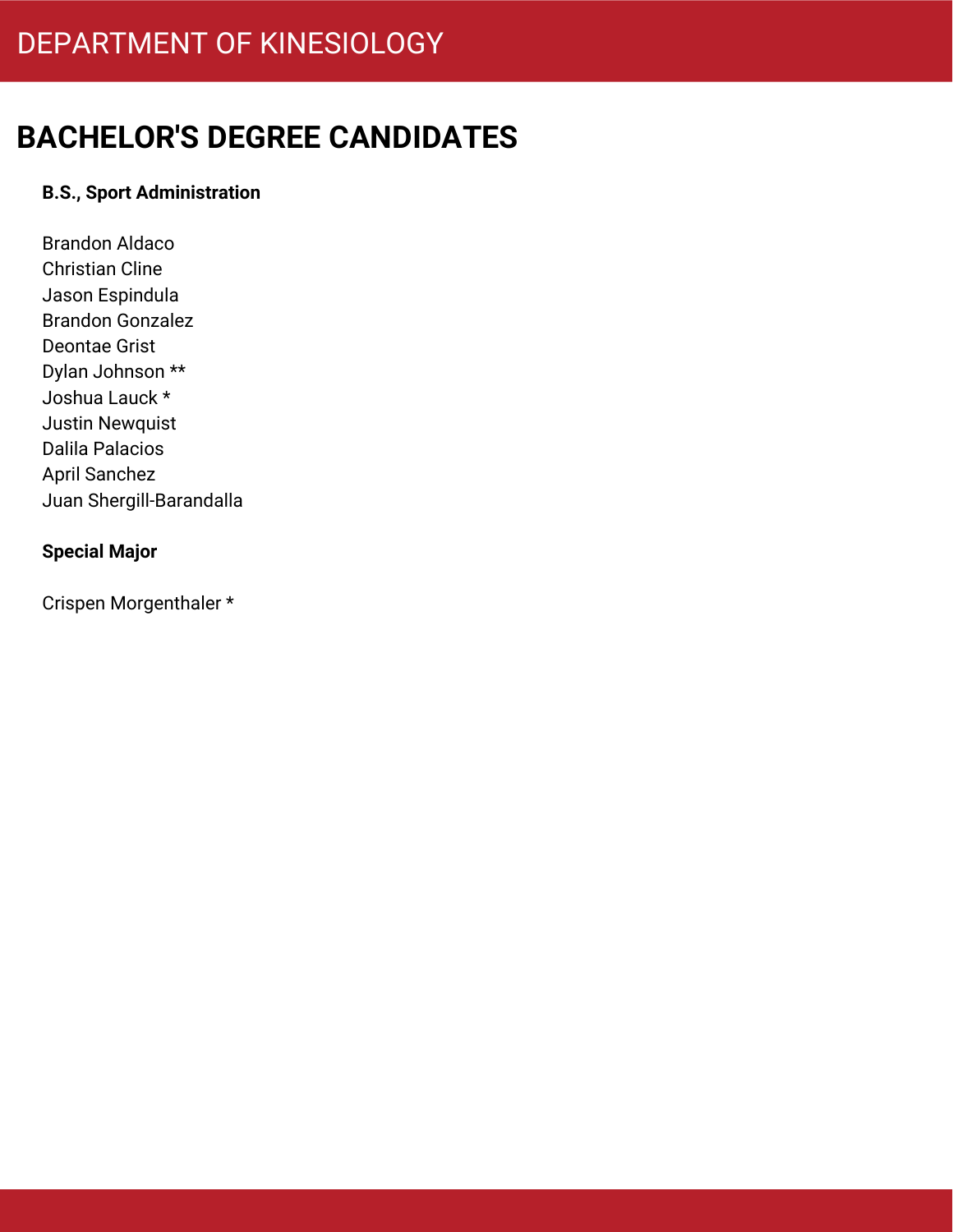### **B.S., Sport Administration**

Brandon Aldaco Christian Cline Jason Espindula Brandon Gonzalez Deontae Grist Dylan Johnson \*\* Joshua Lauck \* Justin Newquist Dalila Palacios April Sanchez Juan Shergill-Barandalla

### **Special Major**

Crispen Morgenthaler \*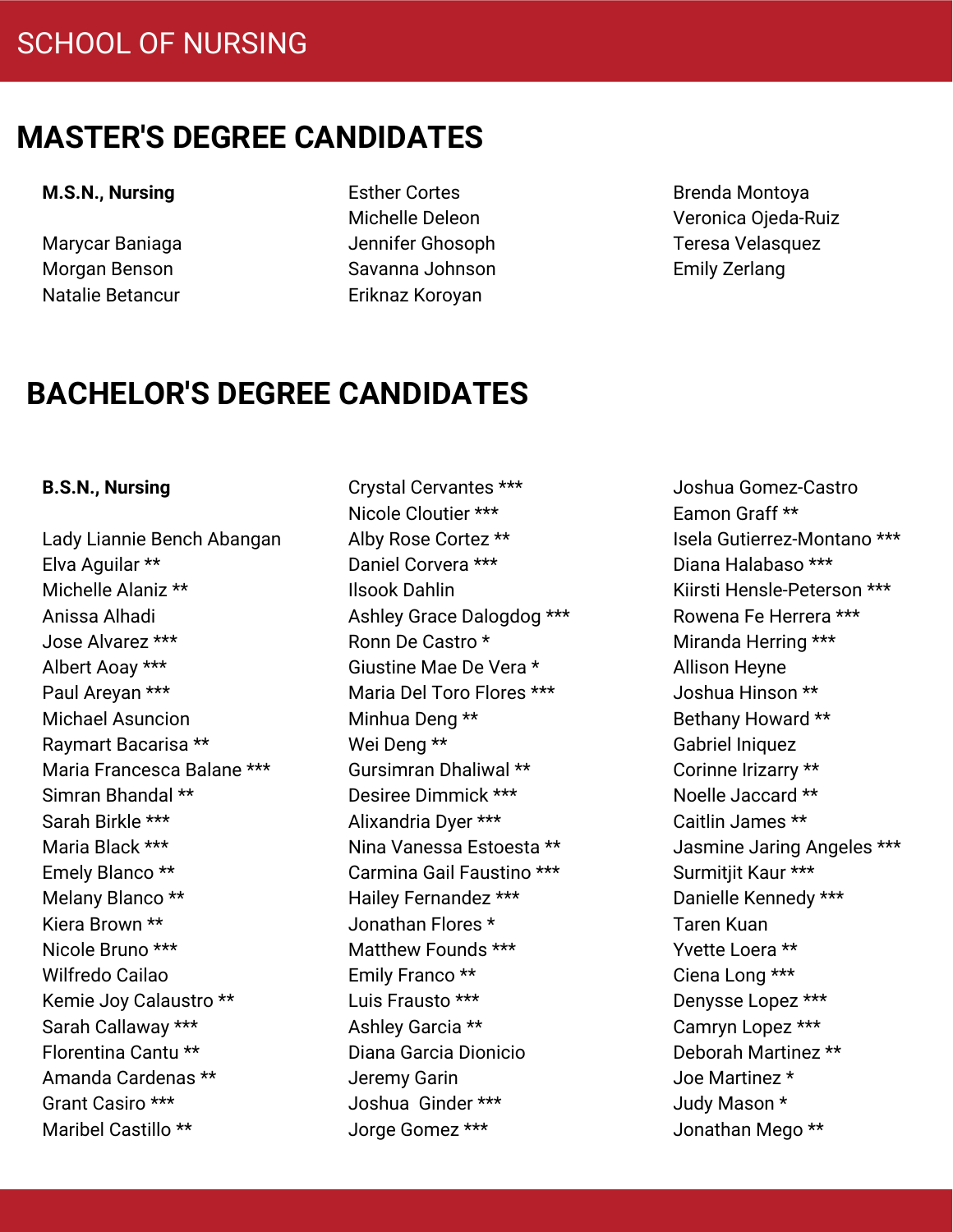#### **M.S.N., Nursing**

Marycar Baniaga Morgan Benson Natalie Betancur

Esther Cortes Michelle Deleon Jennifer Ghosoph Savanna Johnson Eriknaz Koroyan

Brenda Montoya Veronica Ojeda-Ruiz Teresa Velasquez Emily Zerlang

# **BACHELOR'S DEGREE CANDIDATES**

#### **B.S.N., Nursing**

Lady Liannie Bench Abangan Elva Aguilar \*\* Michelle Alaniz \*\* Anissa Alhadi Jose Alvarez \*\*\* Albert Aoay \*\*\* Paul Areyan \*\*\* Michael Asuncion Raymart Bacarisa \*\* Maria Francesca Balane \*\*\* Simran Bhandal \*\* Sarah Birkle \*\*\* Maria Black \*\*\* Emely Blanco \*\* Melany Blanco \*\* Kiera Brown \*\* Nicole Bruno \*\*\* Wilfredo Cailao Kemie Joy Calaustro \*\* Sarah Callaway \*\*\* Florentina Cantu \*\* Amanda Cardenas \*\* Grant Casiro \*\*\* Maribel Castillo \*\*

Crystal Cervantes \*\*\* Nicole Cloutier \*\*\* Alby Rose Cortez \*\* Daniel Corvera \*\*\* Ilsook Dahlin Ashley Grace Dalogdog \*\*\* Ronn De Castro \* Giustine Mae De Vera \* Maria Del Toro Flores \*\*\* Minhua Deng \*\* Wei Deng \*\* Gursimran Dhaliwal \*\* Desiree Dimmick \*\*\* Alixandria Dyer \*\*\* Nina Vanessa Estoesta \*\* Carmina Gail Faustino \*\*\* Hailey Fernandez \*\*\* Jonathan Flores \* Matthew Founds \*\*\* Emily Franco \*\* Luis Frausto \*\*\* Ashley Garcia \*\* Diana Garcia Dionicio Jeremy Garin Joshua Ginder \*\*\* Jorge Gomez \*\*\*

Joshua Gomez-Castro Eamon Graff \*\* Isela Gutierrez-Montano \*\*\* Diana Halabaso \*\*\* Kiirsti Hensle-Peterson \*\*\* Rowena Fe Herrera \*\*\* Miranda Herring \*\*\* Allison Heyne Joshua Hinson \*\* Bethany Howard \*\* Gabriel Iniquez Corinne Irizarry \*\* Noelle Jaccard \*\* Caitlin James \*\* Jasmine Jaring Angeles \*\*\* Surmitjit Kaur \*\*\* Danielle Kennedy \*\*\* Taren Kuan Yvette Loera \*\* Ciena Long \*\*\* Denysse Lopez \*\*\* Camryn Lopez \*\*\* Deborah Martinez \*\* Joe Martinez \* Judy Mason \* Jonathan Mego \*\*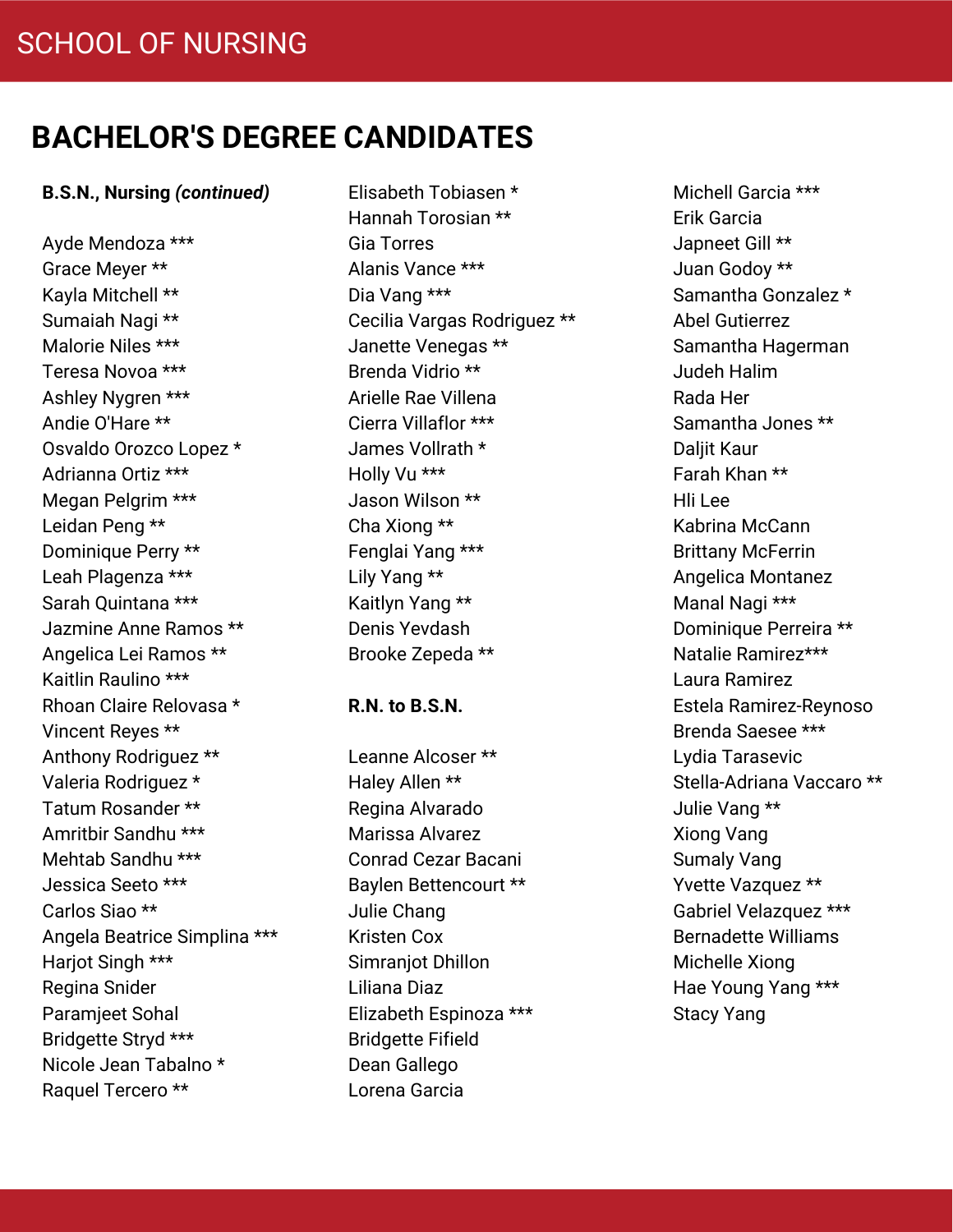#### **B.S.N., Nursing** *(continued)*

Ayde Mendoza \*\*\* Grace Meyer \*\* Kayla Mitchell \*\* Sumaiah Nagi \*\* Malorie Niles \*\*\* Teresa Novoa \*\*\* Ashley Nygren \*\*\* Andie O'Hare \*\* Osvaldo Orozco Lopez \* Adrianna Ortiz \*\*\* Megan Pelgrim \*\*\* Leidan Peng \*\* Dominique Perry \*\* Leah Plagenza \*\*\* Sarah Quintana \*\*\* Jazmine Anne Ramos \*\* Angelica Lei Ramos \*\* Kaitlin Raulino \*\*\* Rhoan Claire Relovasa \* Vincent Reyes \*\* Anthony Rodriguez \*\* Valeria Rodriguez \* Tatum Rosander \*\* Amritbir Sandhu \*\*\* Mehtab Sandhu \*\*\* Jessica Seeto \*\*\* Carlos Siao \*\* Angela Beatrice Simplina \*\*\* Harjot Singh \*\*\* Regina Snider Paramjeet Sohal Bridgette Stryd \*\*\* Nicole Jean Tabalno \* Raquel Tercero \*\*

Elisabeth Tobiasen \* Hannah Torosian \*\* Gia Torres Alanis Vance \*\*\* Dia Vang \*\*\* Cecilia Vargas Rodriguez \*\* Janette Venegas \*\* Brenda Vidrio \*\* Arielle Rae Villena Cierra Villaflor \*\*\* James Vollrath \* Holly Vu \*\*\* Jason Wilson \*\* Cha Xiong \*\* Fenglai Yang \*\*\* Lily Yang \*\* Kaitlyn Yang \*\* Denis Yevdash Brooke Zepeda \*\*

#### **R.N. to B.S.N.**

Leanne Alcoser \*\* Haley Allen \*\* Regina Alvarado Marissa Alvarez Conrad Cezar Bacani Baylen Bettencourt \*\* Julie Chang Kristen Cox Simraniot Dhillon Liliana Diaz Elizabeth Espinoza \*\*\* Bridgette Fifield Dean Gallego Lorena Garcia

Michell Garcia \*\*\* Erik Garcia Japneet Gill \*\* Juan Godoy \*\* Samantha Gonzalez \* Abel Gutierrez Samantha Hagerman Judeh Halim Rada Her Samantha Jones \*\* Daliit Kaur Farah Khan \*\* Hli Lee Kabrina McCann Brittany McFerrin Angelica Montanez Manal Nagi \*\*\* Dominique Perreira \*\* Natalie Ramirez\*\*\* Laura Ramirez Estela Ramirez-Reynoso Brenda Saesee \*\*\* Lydia Tarasevic Stella-Adriana Vaccaro \*\* Julie Vang \*\* Xiong Vang Sumaly Vang Yvette Vazquez \*\* Gabriel Velazquez \*\*\* Bernadette Williams Michelle Xiong Hae Young Yang \*\*\* Stacy Yang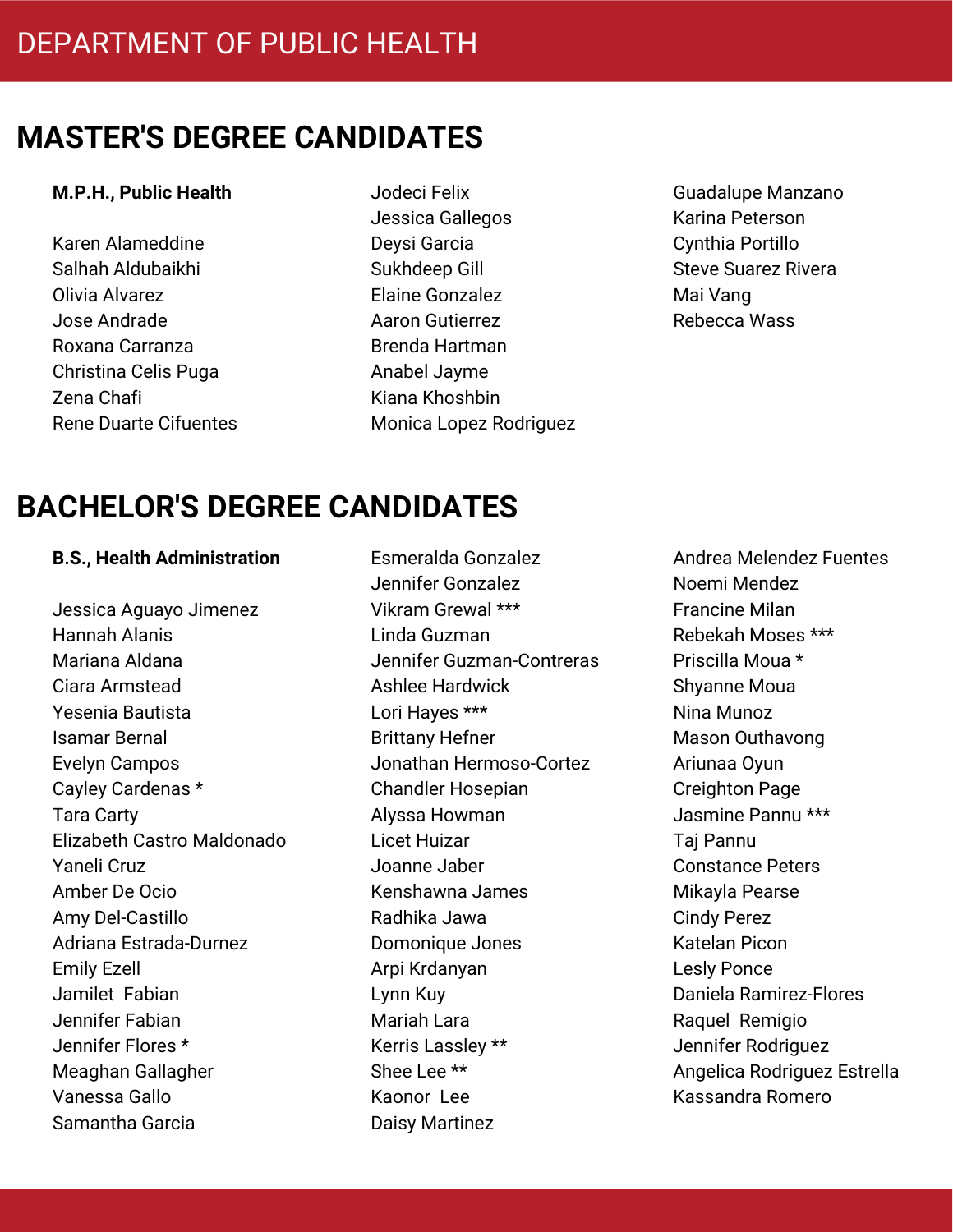#### **M.P.H., Public Health**

Karen Alameddine Salhah Aldubaikhi Olivia Alvarez Jose Andrade Roxana Carranza Christina Celis Puga Zena Chafi Rene Duarte Cifuentes

- Jodeci Felix Jessica Gallegos Deysi Garcia Sukhdeep Gill Elaine Gonzalez Aaron Gutierrez Brenda Hartman Anabel Jayme Kiana Khoshbin Monica Lopez Rodriguez
- Guadalupe Manzano Karina Peterson Cynthia Portillo Steve Suarez Rivera Mai Vang Rebecca Wass

# **BACHELOR'S DEGREE CANDIDATES**

#### **B.S., Health Administration**

Jessica Aguayo Jimenez Hannah Alanis Mariana Aldana Ciara Armstead Yesenia Bautista Isamar Bernal Evelyn Campos Cayley Cardenas \* Tara Carty Elizabeth Castro Maldonado Yaneli Cruz Amber De Ocio Amy Del-Castillo Adriana Estrada-Durnez Emily Ezell Jamilet Fabian Jennifer Fabian Jennifer Flores \* Meaghan Gallagher Vanessa Gallo Samantha Garcia

Esmeralda Gonzalez Jennifer Gonzalez Vikram Grewal \*\*\* Linda Guzman Jennifer Guzman-Contreras Ashlee Hardwick Lori Hayes \*\*\* Brittany Hefner Jonathan Hermoso-Cortez Chandler Hosepian Alyssa Howman Licet Huizar Joanne Jaber Kenshawna James Radhika Jawa Domonique Jones Arpi Krdanyan Lynn Kuy Mariah Lara Kerris Lassley \*\* Shee Lee \*\* Kaonor Lee Daisy Martinez

Andrea Melendez Fuentes Noemi Mendez Francine Milan Rebekah Moses \*\*\* Priscilla Moua \* Shyanne Moua Nina Munoz Mason Outhavong Ariunaa Oyun Creighton Page Jasmine Pannu \*\*\* Taj Pannu Constance Peters Mikayla Pearse Cindy Perez Katelan Picon Lesly Ponce Daniela Ramirez-Flores Raquel Remigio Jennifer Rodriguez Angelica Rodriguez Estrella Kassandra Romero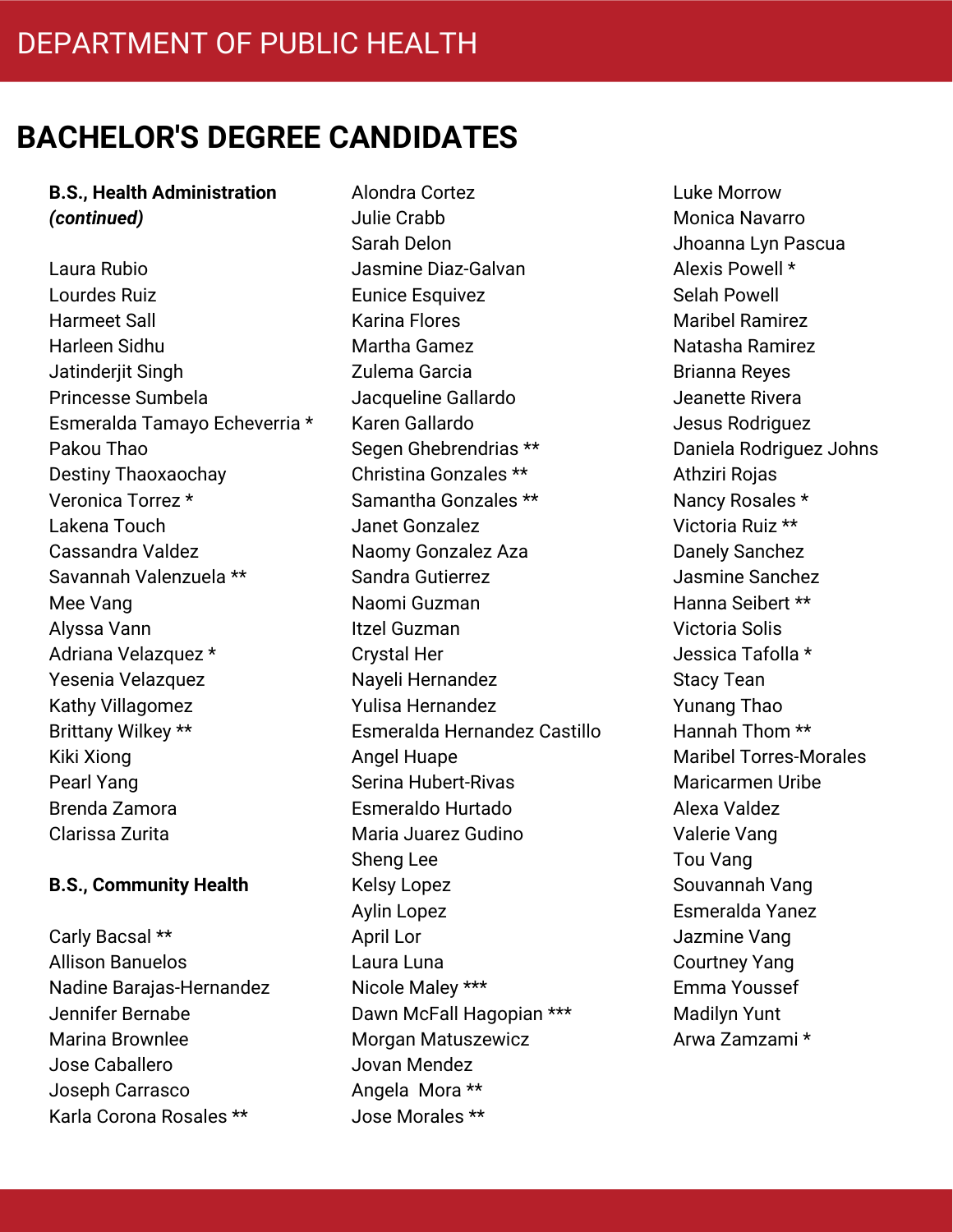#### **B.S., Health Administration** *(continued)*

Laura Rubio Lourdes Ruiz Harmeet Sall Harleen Sidhu Jatinderjit Singh Princesse Sumbela Esmeralda Tamayo Echeverria \* Pakou Thao Destiny Thaoxaochay Veronica Torrez \* Lakena Touch Cassandra Valdez Savannah Valenzuela \*\* Mee Vang Alyssa Vann Adriana Velazquez \* Yesenia Velazquez Kathy Villagomez Brittany Wilkey \*\* Kiki Xiong Pearl Yang Brenda Zamora Clarissa Zurita

#### **B.S., Community Health**

Carly Bacsal \*\* Allison Banuelos Nadine Barajas-Hernandez Jennifer Bernabe Marina Brownlee Jose Caballero Joseph Carrasco Karla Corona Rosales \*\*

Alondra Cortez Julie Crabb Sarah Delon Jasmine Diaz-Galvan Eunice Esquivez Karina Flores Martha Gamez Zulema Garcia Jacqueline Gallardo Karen Gallardo Segen Ghebrendrias \*\* Christina Gonzales \*\* Samantha Gonzales \*\* Janet Gonzalez Naomy Gonzalez Aza Sandra Gutierrez Naomi Guzman Itzel Guzman Crystal Her Nayeli Hernandez Yulisa Hernandez Esmeralda Hernandez Castillo Angel Huape Serina Hubert-Rivas Esmeraldo Hurtado Maria Juarez Gudino Sheng Lee Kelsy Lopez Aylin Lopez April Lor Laura Luna Nicole Maley \*\*\* Dawn McFall Hagopian \*\*\* Morgan Matuszewicz Jovan Mendez Angela Mora \*\* Jose Morales \*\*

Luke Morrow Monica Navarro Jhoanna Lyn Pascua Alexis Powell \* Selah Powell Maribel Ramirez Natasha Ramirez Brianna Reyes Jeanette Rivera Jesus Rodriguez Daniela Rodriguez Johns Athziri Rojas Nancy Rosales \* Victoria Ruiz \*\* Danely Sanchez Jasmine Sanchez Hanna Seibert \*\* Victoria Solis Jessica Tafolla \* Stacy Tean Yunang Thao Hannah Thom \*\* Maribel Torres-Morales Maricarmen Uribe Alexa Valdez Valerie Vang Tou Vang Souvannah Vang Esmeralda Yanez Jazmine Vang Courtney Yang Emma Youssef Madilyn Yunt Arwa Zamzami \*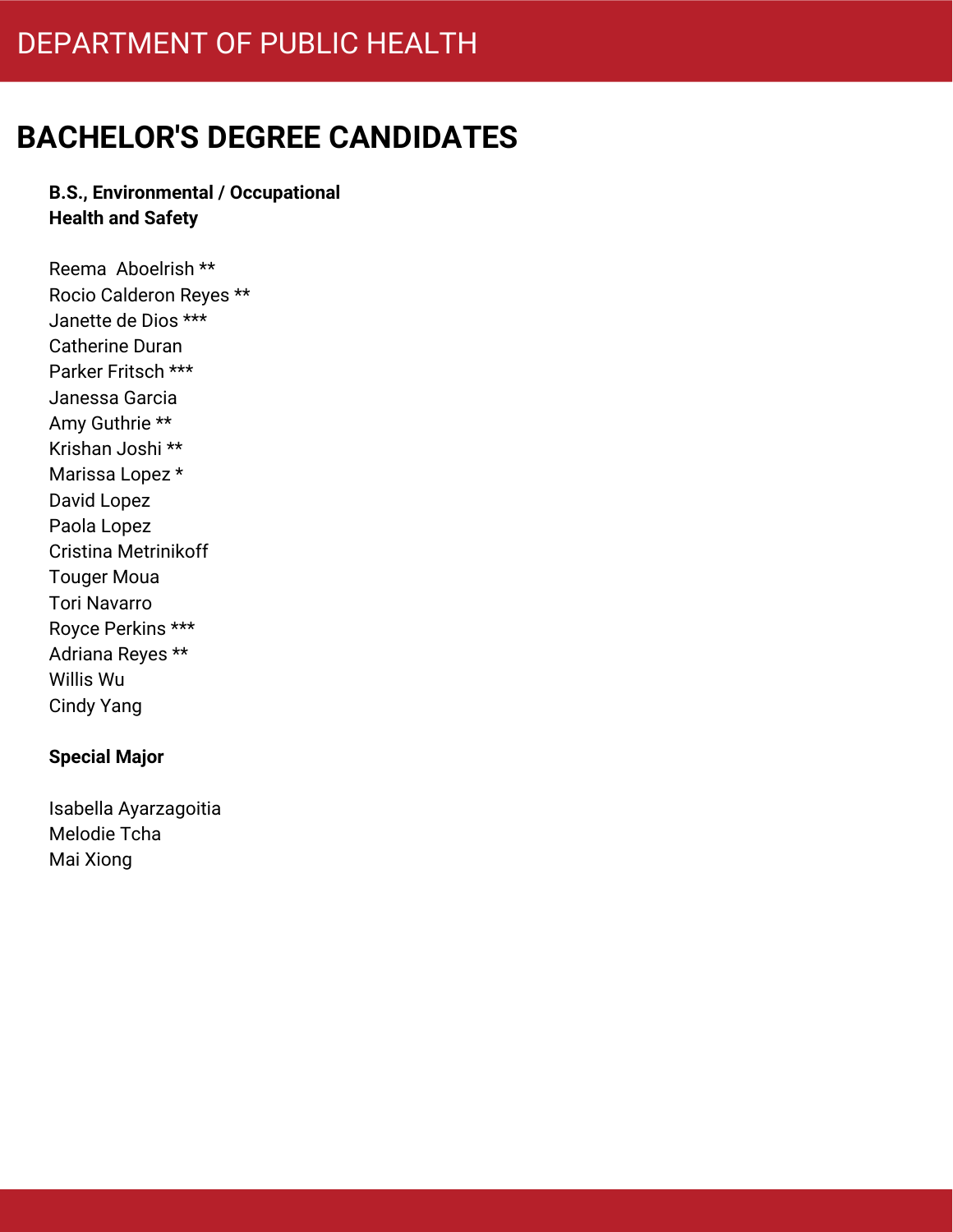# DEPARTMENT OF PUBLIC HEALTH

# **BACHELOR'S DEGREE CANDIDATES**

### **B.S., Environmental / Occupational Health and Safety**

Reema Aboelrish \*\* Rocio Calderon Reyes \*\* Janette de Dios \*\*\* Catherine Duran Parker Fritsch \*\*\* Janessa Garcia Amy Guthrie \*\* Krishan Joshi \*\* Marissa Lopez \* David Lopez Paola Lopez Cristina Metrinikoff Touger Moua Tori Navarro Royce Perkins \*\*\* Adriana Reyes \*\* Willis Wu Cindy Yang

### **Special Major**

Isabella Ayarzagoitia Melodie Tcha Mai Xiong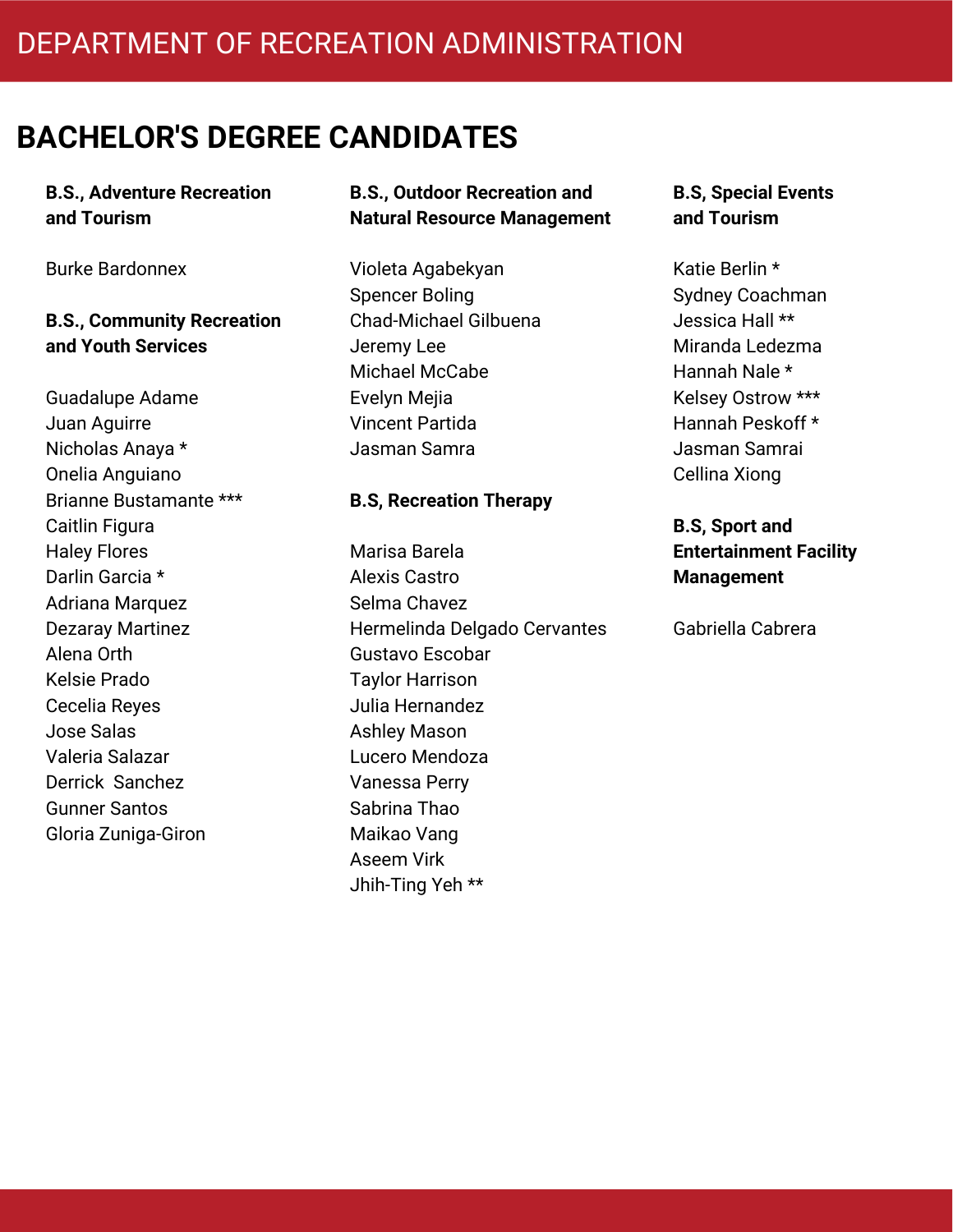### **B.S., Adventure Recreation and Tourism**

Burke Bardonnex

### **B.S., Community Recreation and Youth Services**

Guadalupe Adame Juan Aguirre Nicholas Anaya \* Onelia Anguiano Brianne Bustamante \*\*\* Caitlin Figura Haley Flores Darlin Garcia \* Adriana Marquez Dezaray Martinez Alena Orth Kelsie Prado Cecelia Reyes Jose Salas Valeria Salazar Derrick Sanchez Gunner Santos Gloria Zuniga-Giron

### **B.S., Outdoor Recreation and Natural Resource Management**

Violeta Agabekyan Spencer Boling Chad-Michael Gilbuena Jeremy Lee Michael McCabe Evelyn Mejia Vincent Partida Jasman Samra

#### **B.S, Recreation Therapy**

Marisa Barela Alexis Castro Selma Chavez Hermelinda Delgado Cervantes Gustavo Escobar Taylor Harrison Julia Hernandez Ashley Mason Lucero Mendoza Vanessa Perry Sabrina Thao Maikao Vang Aseem Virk Jhih-Ting Yeh \*\*

#### **B.S, Special Events and Tourism**

Katie Berlin \* Sydney Coachman Jessica Hall \*\* Miranda Ledezma Hannah Nale \* Kelsey Ostrow \*\*\* Hannah Peskoff \* Jasman Samrai Cellina Xiong

**B.S, Sport and Entertainment Facility Management**

Gabriella Cabrera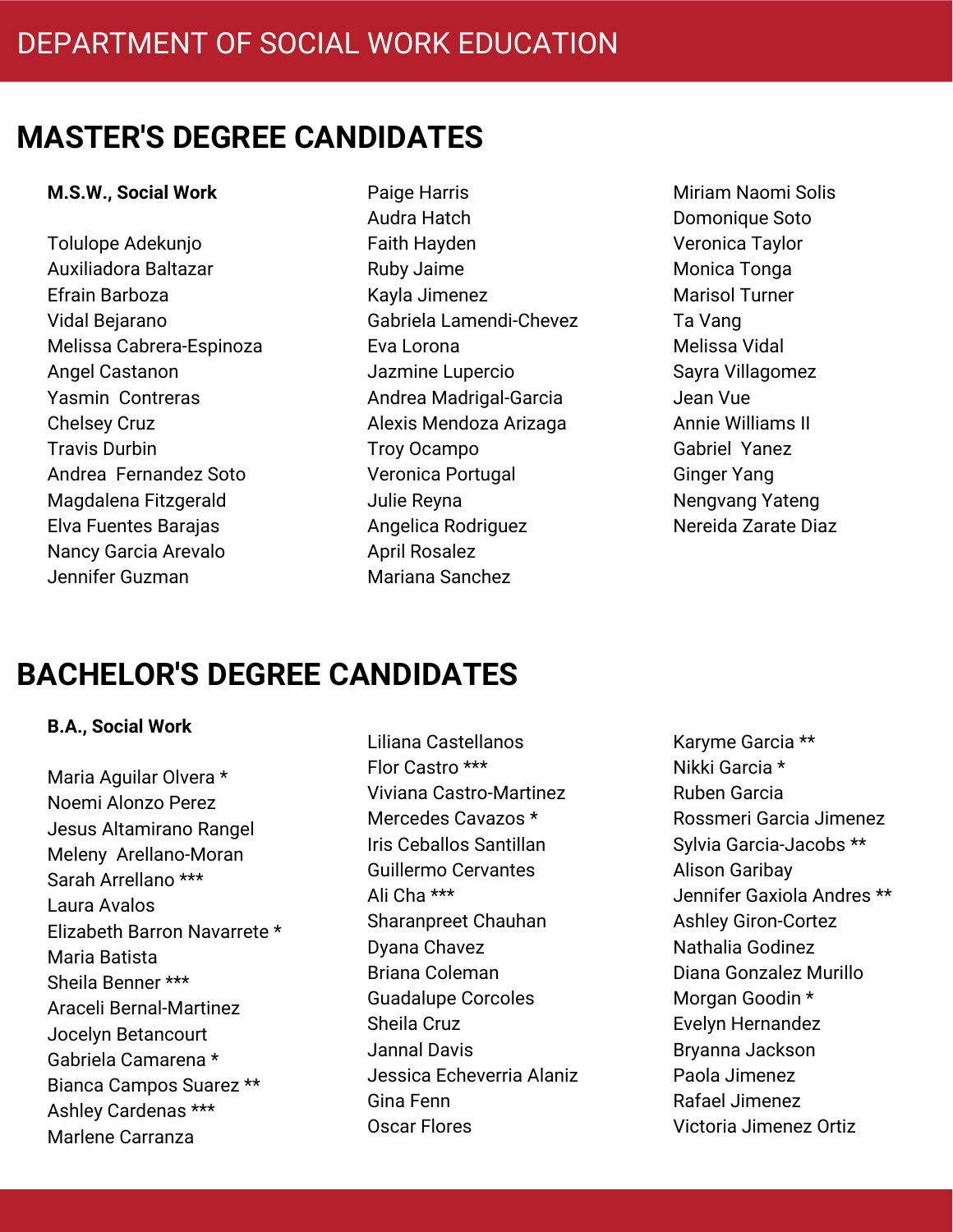#### **M.S.W., Social Work**

- Tolulope Adekunjo Auxiliadora Baltazar Efrain Barboza Vidal Bejarano Melissa Cabrera-Espinoza Angel Castanon Yasmin Contreras Chelsey Cruz Travis Durbin Andrea Fernandez Soto Magdalena Fitzgerald Elva Fuentes Barajas Nancy Garcia Arevalo Jennifer Guzman
- Paige Harris Audra Hatch Faith Hayden Ruby Jaime Kayla Jimenez Gabriela Lamendi-Chevez Eva Lorona Jazmine Lupercio Andrea Madrigal-Garcia Alexis Mendoza Arizaga Troy Ocampo Veronica Portugal Julie Reyna Angelica Rodriguez April Rosalez Mariana Sanchez
- Miriam Naomi Solis Domonique Soto Veronica Taylor Monica Tonga Marisol Turner Ta Vang Melissa Vidal Sayra Villagomez Jean Vue Annie Williams II Gabriel Yanez Ginger Yang Nengvang Yateng Nereida Zarate Diaz

### **BACHELOR'S DEGREE CANDIDATES**

#### **B.A., Social Work**

Maria Aguilar Olvera \* Noemi Alonzo Perez Jesus Altamirano Rangel Meleny Arellano-Moran Sarah Arrellano \*\*\* Laura Avalos Elizabeth Barron Navarrete \* Maria Batista Sheila Benner \*\*\* Araceli Bernal-Martinez Jocelyn Betancourt Gabriela Camarena \* Bianca Campos Suarez \*\* Ashley Cardenas \*\*\* Marlene Carranza

Liliana Castellanos Flor Castro \*\*\* Viviana Castro-Martinez Mercedes Cavazos \* Iris Ceballos Santillan Guillermo Cervantes Ali Cha \*\*\* Sharanpreet Chauhan Dyana Chavez Briana Coleman Guadalupe Corcoles Sheila Cruz Jannal Davis Jessica Echeverria Alaniz Gina Fenn Oscar Flores

Karyme Garcia \*\* Nikki Garcia \* Ruben Garcia Rossmeri Garcia Jimenez Sylvia Garcia-Jacobs \*\* Alison Garibay Jennifer Gaxiola Andres \*\* Ashley Giron-Cortez Nathalia Godinez Diana Gonzalez Murillo Morgan Goodin \* Evelyn Hernandez Bryanna Jackson Paola Jimenez Rafael Jimenez Victoria Jimenez Ortiz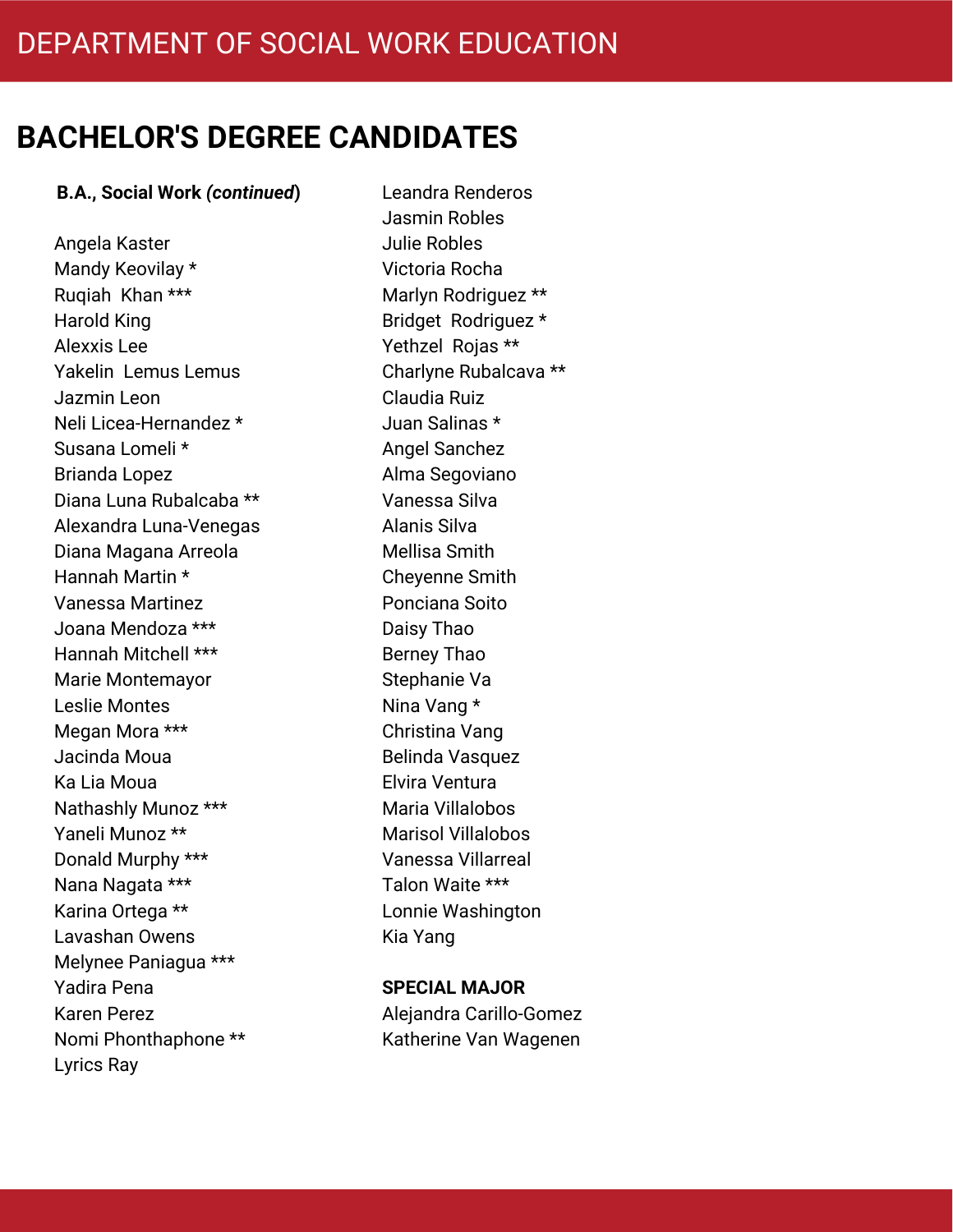#### **B.A., Social Work** *(continued***)**

Angela Kaster Mandy Keovilay \* Ruqiah Khan \*\*\* Harold King Alexxis Lee Yakelin Lemus Lemus Jazmin Leon Neli Licea-Hernandez \* Susana Lomeli \* Brianda Lopez Diana Luna Rubalcaba \*\* Alexandra Luna-Venegas Diana Magana Arreola Hannah Martin \* Vanessa Martinez Joana Mendoza \*\*\* Hannah Mitchell \*\*\* Marie Montemayor Leslie Montes Megan Mora \*\*\* Jacinda Moua Ka Lia Moua Nathashly Munoz \*\*\* Yaneli Munoz \*\* Donald Murphy \*\*\* Nana Nagata \*\*\* Karina Ortega \*\* Lavashan Owens Melynee Paniagua \*\*\* Yadira Pena Karen Perez Nomi Phonthaphone \*\* Lyrics Ray

Leandra Renderos Jasmin Robles Julie Robles Victoria Rocha Marlyn Rodriguez \*\* Bridget Rodriguez \* Yethzel Rojas \*\* Charlyne Rubalcava \*\* Claudia Ruiz Juan Salinas \* Angel Sanchez Alma Segoviano Vanessa Silva Alanis Silva Mellisa Smith Cheyenne Smith Ponciana Soito Daisy Thao Berney Thao Stephanie Va Nina Vang \* Christina Vang Belinda Vasquez Elvira Ventura Maria Villalobos Marisol Villalobos Vanessa Villarreal Talon Waite \*\*\* Lonnie Washington Kia Yang

#### **SPECIAL MAJOR**

Alejandra Carillo-Gomez Katherine Van Wagenen